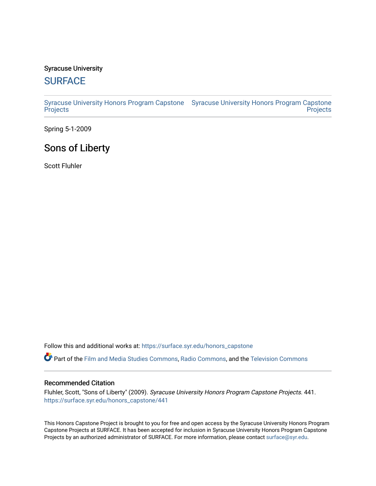# Syracuse University

# **[SURFACE](https://surface.syr.edu/)**

[Syracuse University Honors Program Capstone](https://surface.syr.edu/honors_capstone)  [Syracuse University Honors Program Capstone](https://surface.syr.edu/honors_capstones)  **[Projects](https://surface.syr.edu/honors_capstone) Projects** 

Spring 5-1-2009

# Sons of Liberty

Scott Fluhler

Follow this and additional works at: [https://surface.syr.edu/honors\\_capstone](https://surface.syr.edu/honors_capstone?utm_source=surface.syr.edu%2Fhonors_capstone%2F441&utm_medium=PDF&utm_campaign=PDFCoverPages) 

Part of the [Film and Media Studies Commons,](http://network.bepress.com/hgg/discipline/563?utm_source=surface.syr.edu%2Fhonors_capstone%2F441&utm_medium=PDF&utm_campaign=PDFCoverPages) [Radio Commons](http://network.bepress.com/hgg/discipline/1144?utm_source=surface.syr.edu%2Fhonors_capstone%2F441&utm_medium=PDF&utm_campaign=PDFCoverPages), and the [Television Commons](http://network.bepress.com/hgg/discipline/1143?utm_source=surface.syr.edu%2Fhonors_capstone%2F441&utm_medium=PDF&utm_campaign=PDFCoverPages)

# Recommended Citation

Fluhler, Scott, "Sons of Liberty" (2009). Syracuse University Honors Program Capstone Projects. 441. [https://surface.syr.edu/honors\\_capstone/441](https://surface.syr.edu/honors_capstone/441?utm_source=surface.syr.edu%2Fhonors_capstone%2F441&utm_medium=PDF&utm_campaign=PDFCoverPages) 

This Honors Capstone Project is brought to you for free and open access by the Syracuse University Honors Program Capstone Projects at SURFACE. It has been accepted for inclusion in Syracuse University Honors Program Capstone Projects by an authorized administrator of SURFACE. For more information, please contact [surface@syr.edu.](mailto:surface@syr.edu)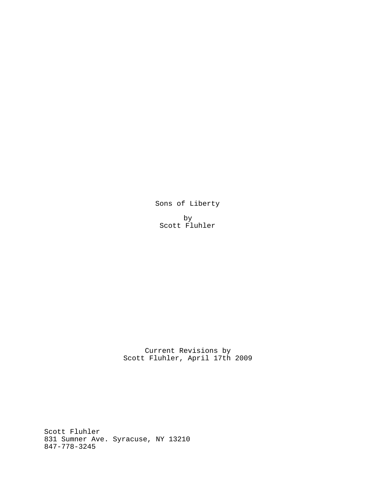Sons of Liberty

by Scott Fluhler

Current Revisions by Scott Fluhler, April 17th 2009

Scott Fluhler 831 Sumner Ave. Syracuse, NY 13210 847-778-3245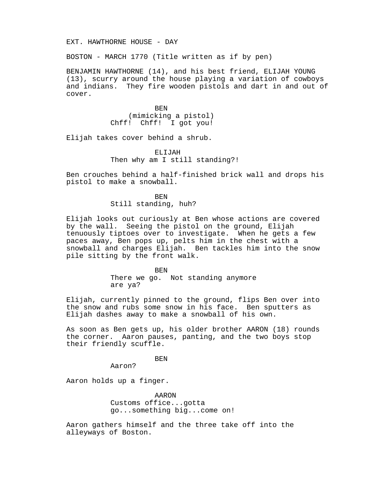#### EXT. HAWTHORNE HOUSE - DAY

BOSTON - MARCH 1770 (Title written as if by pen)

BENJAMIN HAWTHORNE (14), and his best friend, ELIJAH YOUNG (13), scurry around the house playing a variation of cowboys and indians. They fire wooden pistols and dart in and out of cover.

> BEN (mimicking a pistol) Chff! Chff! I got you!

Elijah takes cover behind a shrub.

ELIJAH Then why am I still standing?!

Ben crouches behind a half-finished brick wall and drops his pistol to make a snowball.

> BEN Still standing, huh?

Elijah looks out curiously at Ben whose actions are covered by the wall. Seeing the pistol on the ground, Elijah tenuously tiptoes over to investigate. When he gets a few paces away, Ben pops up, pelts him in the chest with a snowball and charges Elijah. Ben tackles him into the snow pile sitting by the front walk.

> BEN There we go. Not standing anymore are ya?

Elijah, currently pinned to the ground, flips Ben over into the snow and rubs some snow in his face. Ben sputters as Elijah dashes away to make a snowball of his own.

As soon as Ben gets up, his older brother AARON (18) rounds the corner. Aaron pauses, panting, and the two boys stop their friendly scuffle.

BEN

Aaron?

Aaron holds up a finger.

AARON Customs office...gotta go...something big...come on!

Aaron gathers himself and the three take off into the alleyways of Boston.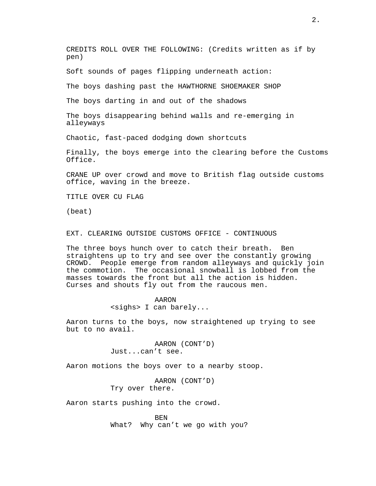CREDITS ROLL OVER THE FOLLOWING: (Credits written as if by pen)

Soft sounds of pages flipping underneath action:

The boys dashing past the HAWTHORNE SHOEMAKER SHOP

The boys darting in and out of the shadows

The boys disappearing behind walls and re-emerging in alleyways

Chaotic, fast-paced dodging down shortcuts

Finally, the boys emerge into the clearing before the Customs Office.

CRANE UP over crowd and move to British flag outside customs office, waving in the breeze.

TITLE OVER CU FLAG

(beat)

EXT. CLEARING OUTSIDE CUSTOMS OFFICE - CONTINUOUS

The three boys hunch over to catch their breath. Ben straightens up to try and see over the constantly growing CROWD. People emerge from random alleyways and quickly join the commotion. The occasional snowball is lobbed from the masses towards the front but all the action is hidden. Curses and shouts fly out from the raucous men.

### AARON

<sighs> I can barely...

Aaron turns to the boys, now straightened up trying to see but to no avail.

> AARON (CONT'D) Just...can't see.

Aaron motions the boys over to a nearby stoop.

AARON (CONT'D) Try over there.

Aaron starts pushing into the crowd.

BEN What? Why can't we go with you?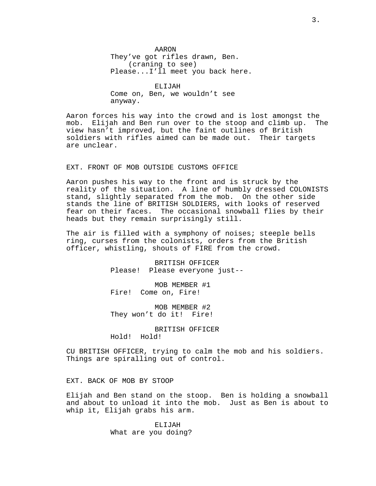AARON They've got rifles drawn, Ben. (craning to see) Please...I'll meet you back here.

ELIJAH Come on, Ben, we wouldn't see anyway.

Aaron forces his way into the crowd and is lost amongst the mob. Elijah and Ben run over to the stoop and climb up. The view hasn't improved, but the faint outlines of British soldiers with rifles aimed can be made out. Their targets are unclear.

# EXT. FRONT OF MOB OUTSIDE CUSTOMS OFFICE

Aaron pushes his way to the front and is struck by the reality of the situation. A line of humbly dressed COLONISTS stand, slightly separated from the mob. On the other side stands the line of BRITISH SOLDIERS, with looks of reserved fear on their faces. The occasional snowball flies by their heads but they remain surprisingly still.

The air is filled with a symphony of noises; steeple bells ring, curses from the colonists, orders from the British officer, whistling, shouts of FIRE from the crowd.

> BRITISH OFFICER Please! Please everyone just--

MOB MEMBER #1 Fire! Come on, Fire!

MOB MEMBER #2 They won't do it! Fire!

BRITISH OFFICER Hold! Hold!

CU BRITISH OFFICER, trying to calm the mob and his soldiers. Things are spiralling out of control.

### EXT. BACK OF MOB BY STOOP

Elijah and Ben stand on the stoop. Ben is holding a snowball and about to unload it into the mob. Just as Ben is about to whip it, Elijah grabs his arm.

> ELIJAH What are you doing?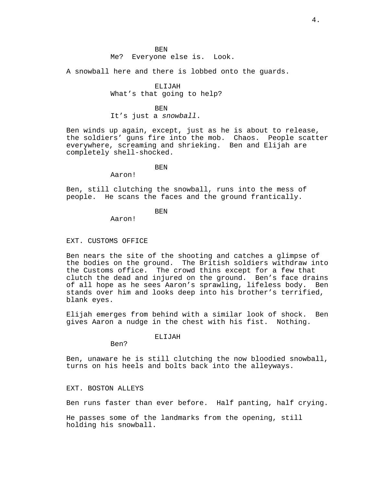# Me? Everyone else is. Look.

A snowball here and there is lobbed onto the guards.

# ELIJAH What's that going to help?

### BEN

It's just a snowball.

Ben winds up again, except, just as he is about to release, the soldiers' guns fire into the mob. Chaos. People scatter everywhere, screaming and shrieking. Ben and Elijah are completely shell-shocked.

### **BEN**

Aaron!

Ben, still clutching the snowball, runs into the mess of people. He scans the faces and the ground frantically.

# **BEN**

Aaron!

#### EXT. CUSTOMS OFFICE

Ben nears the site of the shooting and catches a glimpse of the bodies on the ground. The British soldiers withdraw into the Customs office. The crowd thins except for a few that clutch the dead and injured on the ground. Ben's face drains of all hope as he sees Aaron's sprawling, lifeless body. Ben stands over him and looks deep into his brother's terrified, blank eyes.

Elijah emerges from behind with a similar look of shock. Ben gives Aaron a nudge in the chest with his fist. Nothing.

#### ELIJAH

Ben?

Ben, unaware he is still clutching the now bloodied snowball, turns on his heels and bolts back into the alleyways.

# EXT. BOSTON ALLEYS

Ben runs faster than ever before. Half panting, half crying.

He passes some of the landmarks from the opening, still holding his snowball.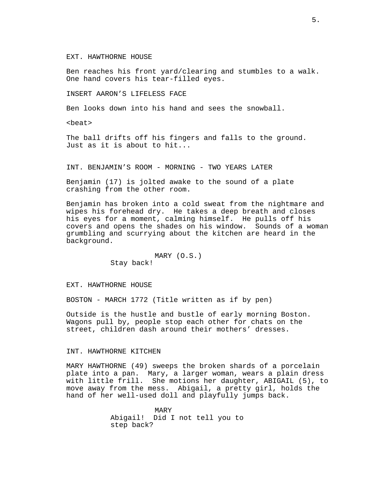### EXT. HAWTHORNE HOUSE

Ben reaches his front yard/clearing and stumbles to a walk. One hand covers his tear-filled eyes.

INSERT AARON'S LIFELESS FACE

Ben looks down into his hand and sees the snowball.

<beat>

The ball drifts off his fingers and falls to the ground. Just as it is about to hit...

INT. BENJAMIN'S ROOM - MORNING - TWO YEARS LATER

Benjamin (17) is jolted awake to the sound of a plate crashing from the other room.

Benjamin has broken into a cold sweat from the nightmare and wipes his forehead dry. He takes a deep breath and closes his eyes for a moment, calming himself. He pulls off his covers and opens the shades on his window. Sounds of a woman grumbling and scurrying about the kitchen are heard in the background.

> MARY (O.S.) Stay back!

EXT. HAWTHORNE HOUSE

BOSTON - MARCH 1772 (Title written as if by pen)

Outside is the hustle and bustle of early morning Boston. Wagons pull by, people stop each other for chats on the street, children dash around their mothers' dresses.

### INT. HAWTHORNE KITCHEN

MARY HAWTHORNE (49) sweeps the broken shards of a porcelain plate into a pan. Mary, a larger woman, wears a plain dress with little frill. She motions her daughter, ABIGAIL (5), to move away from the mess. Abigail, a pretty girl, holds the hand of her well-used doll and playfully jumps back.

> MARY Abigail! Did I not tell you to step back?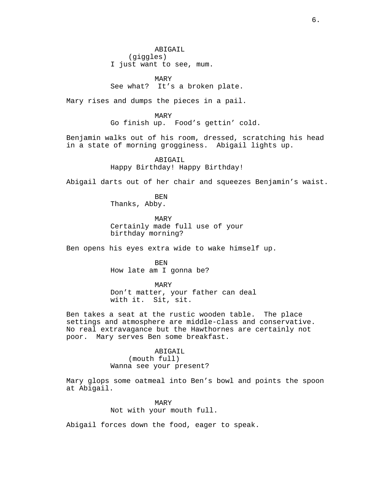ABIGAIL (giggles) I just want to see, mum.

MARY See what? It's a broken plate.

Mary rises and dumps the pieces in a pail.

MARY Go finish up. Food's gettin' cold.

Benjamin walks out of his room, dressed, scratching his head in a state of morning grogginess. Abigail lights up.

> ABIGAIL Happy Birthday! Happy Birthday!

Abigail darts out of her chair and squeezes Benjamin's waist.

BEN Thanks, Abby.

MARY Certainly made full use of your birthday morning?

Ben opens his eyes extra wide to wake himself up.

BEN How late am I gonna be?

MARY Don't matter, your father can deal<br>with it. Sit, sit. Sit, sit.

Ben takes a seat at the rustic wooden table. The place settings and atmosphere are middle-class and conservative. No real extravagance but the Hawthornes are certainly not poor. Mary serves Ben some breakfast.

> ABIGAIL (mouth full) Wanna see your present?

Mary glops some oatmeal into Ben's bowl and points the spoon at Abigail.

> MARY Not with your mouth full.

Abigail forces down the food, eager to speak.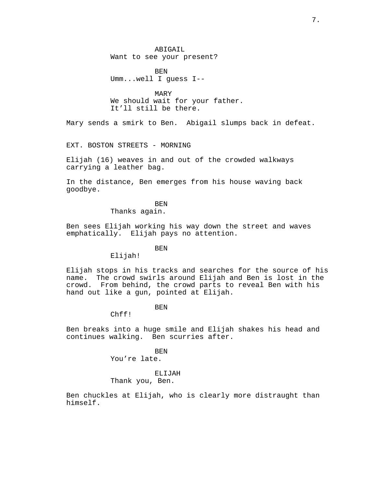ABIGAIL Want to see your present?

BEN Umm...well I guess I--

MARY We should wait for your father. It'll still be there.

Mary sends a smirk to Ben. Abigail slumps back in defeat.

EXT. BOSTON STREETS - MORNING

Elijah (16) weaves in and out of the crowded walkways carrying a leather bag.

In the distance, Ben emerges from his house waving back goodbye.

## BEN

Thanks again.

Ben sees Elijah working his way down the street and waves emphatically. Elijah pays no attention.

### **BEN**

Elijah!

Elijah stops in his tracks and searches for the source of his name. The crowd swirls around Elijah and Ben is lost in the crowd. From behind, the crowd parts to reveal Ben with his hand out like a gun, pointed at Elijah.

# BEN

Chff!

Ben breaks into a huge smile and Elijah shakes his head and continues walking. Ben scurries after.

> BEN You're late.

# ELIJAH

Thank you, Ben.

Ben chuckles at Elijah, who is clearly more distraught than himself.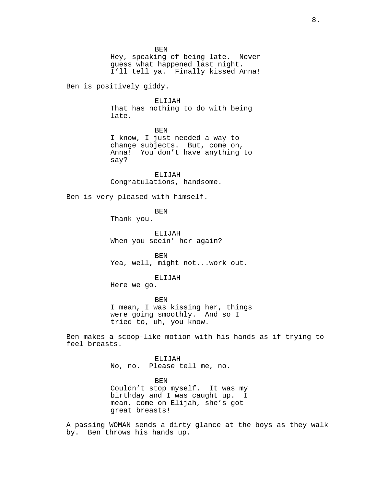BEN

Hey, speaking of being late. Never guess what happened last night. I'll tell ya. Finally kissed Anna!

Ben is positively giddy.

ELIJAH That has nothing to do with being late.

BEN

I know, I just needed a way to change subjects. But, come on, Anna! You don't have anything to say?

ELIJAH Congratulations, handsome.

Ben is very pleased with himself.

BEN

Thank you.

ELIJAH When you seein' her again?

BEN Yea, well, might not...work out.

ELIJAH

Here we go.

BEN I mean, I was kissing her, things were going smoothly. And so I tried to, uh, you know.

Ben makes a scoop-like motion with his hands as if trying to feel breasts.

> ELIJAH No, no. Please tell me, no.

BEN Couldn't stop myself. It was my birthday and I was caught up. I mean, come on Elijah, she's got great breasts!

A passing WOMAN sends a dirty glance at the boys as they walk by. Ben throws his hands up.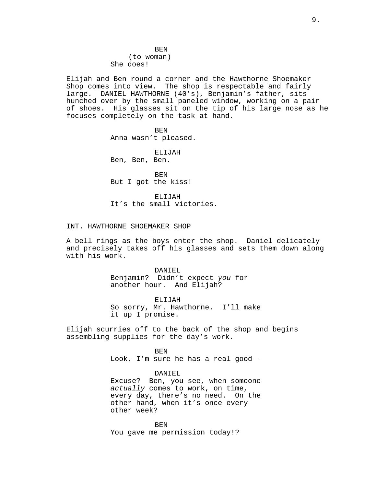# BEN (to woman) She does!

Elijah and Ben round a corner and the Hawthorne Shoemaker Shop comes into view. The shop is respectable and fairly large. DANIEL HAWTHORNE (40's), Benjamin's father, sits hunched over by the small paneled window, working on a pair of shoes. His glasses sit on the tip of his large nose as he focuses completely on the task at hand.

> BEN Anna wasn't pleased.

ELIJAH Ben, Ben, Ben.

BEN But I got the kiss!

ELIJAH It's the small victories.

# INT. HAWTHORNE SHOEMAKER SHOP

A bell rings as the boys enter the shop. Daniel delicately and precisely takes off his glasses and sets them down along with his work.

> DANIEL Benjamin? Didn't expect you for another hour. And Elijah?

ELIJAH So sorry, Mr. Hawthorne. I'll make it up I promise.

Elijah scurries off to the back of the shop and begins assembling supplies for the day's work.

> BEN Look, I'm sure he has a real good--

> > DANIEL

Excuse? Ben, you see, when someone actually comes to work, on time, every day, there's no need. On the other hand, when it's once every other week?

BEN You gave me permission today!?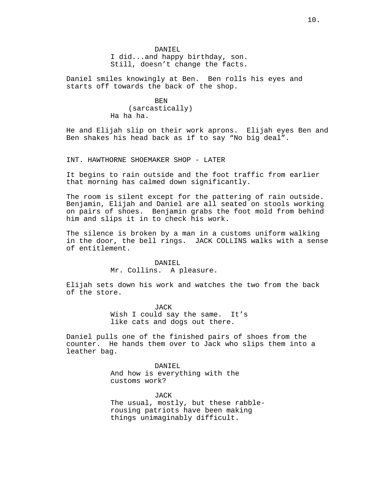# DANTEL. I did...and happy birthday, son. Still, doesn't change the facts.

Daniel smiles knowingly at Ben. Ben rolls his eyes and starts off towards the back of the shop.

#### BEN

(sarcastically) Ha ha ha.

He and Elijah slip on their work aprons. Elijah eyes Ben and Ben shakes his head back as if to say "No big deal".

INT. HAWTHORNE SHOEMAKER SHOP - LATER

It begins to rain outside and the foot traffic from earlier that morning has calmed down significantly.

The room is silent except for the pattering of rain outside. Benjamin, Elijah and Daniel are all seated on stools working on pairs of shoes. Benjamin grabs the foot mold from behind him and slips it in to check his work.

The silence is broken by a man in a customs uniform walking in the door, the bell rings. JACK COLLINS walks with a sense of entitlement.

### DANIEL

Mr. Collins. A pleasure.

Elijah sets down his work and watches the two from the back of the store.

> JACK Wish I could say the same. It's like cats and dogs out there.

Daniel pulls one of the finished pairs of shoes from the counter. He hands them over to Jack who slips them into a leather bag.

> DANIEL And how is everything with the customs work?

JACK The usual, mostly, but these rabblerousing patriots have been making things unimaginably difficult.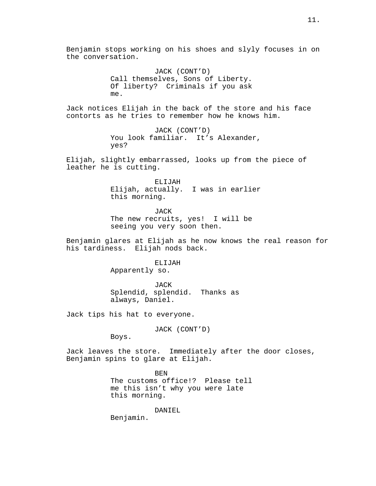JACK (CONT'D) Call themselves, Sons of Liberty. Of liberty? Criminals if you ask me.

Jack notices Elijah in the back of the store and his face contorts as he tries to remember how he knows him.

> JACK (CONT'D) You look familiar. It's Alexander, yes?

Elijah, slightly embarrassed, looks up from the piece of leather he is cutting.

> ELIJAH Elijah, actually. I was in earlier this morning.

> > JACK

The new recruits, yes! I will be seeing you very soon then.

Benjamin glares at Elijah as he now knows the real reason for his tardiness. Elijah nods back.

> ELIJAH Apparently so.

JACK

Splendid, splendid. Thanks as always, Daniel.

Jack tips his hat to everyone.

JACK (CONT'D)

Boys.

Jack leaves the store. Immediately after the door closes, Benjamin spins to glare at Elijah.

> BEN The customs office!? Please tell me this isn't why you were late this morning.

> > DANIEL

Benjamin.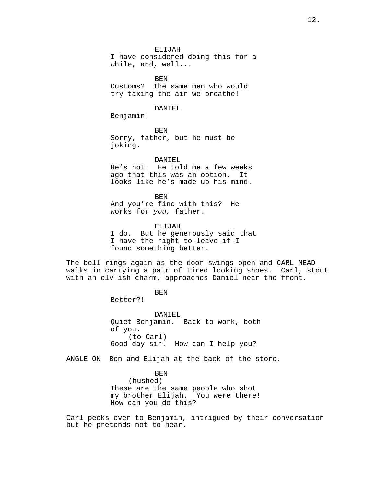ELIJAH

I have considered doing this for a while, and, well...

BEN Customs? The same men who would try taxing the air we breathe!

### DANIEL

Benjamin!

BEN Sorry, father, but he must be joking.

## DANIEL

He's not. He told me a few weeks ago that this was an option. It looks like he's made up his mind.

BEN And you're fine with this? He works for you, father.

ELIJAH I do. But he generously said that I have the right to leave if I found something better.

The bell rings again as the door swings open and CARL MEAD walks in carrying a pair of tired looking shoes. Carl, stout with an elv-ish charm, approaches Daniel near the front.

BEN

Better?!

DANIEL Quiet Benjamin. Back to work, both of you. (to Carl) Good day sir. How can I help you?

ANGLE ON Ben and Elijah at the back of the store.

BEN (hushed) These are the same people who shot my brother Elijah. You were there! How can you do this?

Carl peeks over to Benjamin, intrigued by their conversation but he pretends not to hear.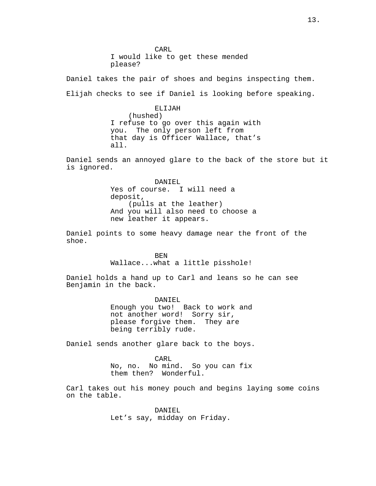CARL I would like to get these mended please?

Daniel takes the pair of shoes and begins inspecting them. Elijah checks to see if Daniel is looking before speaking.

> ELIJAH (hushed) I refuse to go over this again with you. The only person left from that day is Officer Wallace, that's all.

Daniel sends an annoyed glare to the back of the store but it is ignored.

> DANIEL Yes of course. I will need a deposit, (pulls at the leather) And you will also need to choose a new leather it appears.

Daniel points to some heavy damage near the front of the shoe.

> BEN Wallace...what a little pisshole!

Daniel holds a hand up to Carl and leans so he can see Benjamin in the back.

> DANIEL Enough you two! Back to work and not another word! Sorry sir, please forgive them. They are being terribly rude.

Daniel sends another glare back to the boys.

CARL No, no. No mind. So you can fix them then? Wonderful.

Carl takes out his money pouch and begins laying some coins on the table.

> DANIEL. Let's say, midday on Friday.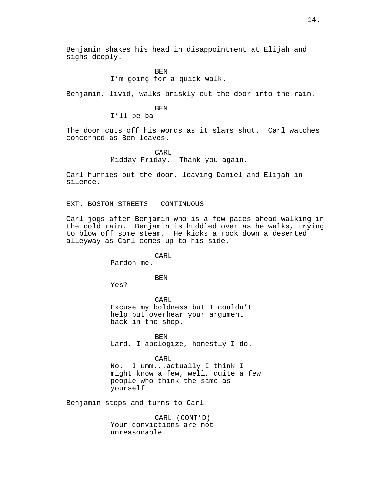Benjamin shakes his head in disappointment at Elijah and sighs deeply.

# BEN

I'm going for a quick walk.

Benjamin, livid, walks briskly out the door into the rain.

# BEN

I'll be ba--

The door cuts off his words as it slams shut. Carl watches concerned as Ben leaves.

# CARL Midday Friday. Thank you again.

Carl hurries out the door, leaving Daniel and Elijah in silence.

# EXT. BOSTON STREETS - CONTINUOUS

Carl jogs after Benjamin who is a few paces ahead walking in the cold rain. Benjamin is huddled over as he walks, trying to blow off some steam. He kicks a rock down a deserted alleyway as Carl comes up to his side.

CARL

Pardon me.

BEN

Yes?

CARL Excuse my boldness but I couldn't help but overhear your argument back in the shop.

**BEN** Lard, I apologize, honestly I do.

CARL No. I umm...actually I think I might know a few, well, quite a few people who think the same as yourself.

Benjamin stops and turns to Carl.

CARL (CONT'D) Your convictions are not unreasonable.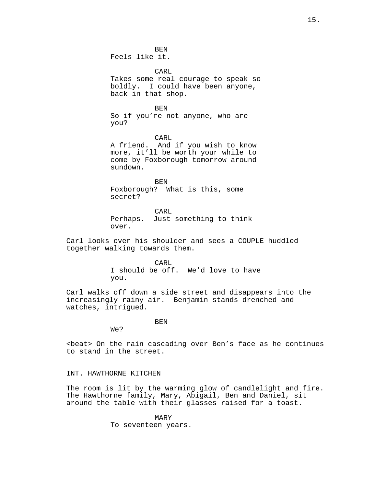BEN Feels like it.

CARL

Takes some real courage to speak so boldly. I could have been anyone, back in that shop.

BEN

So if you're not anyone, who are you?

CARL A friend. And if you wish to know more, it'll be worth your while to come by Foxborough tomorrow around sundown.

BEN Foxborough? What is this, some secret?

CARL Perhaps. Just something to think over.

Carl looks over his shoulder and sees a COUPLE huddled together walking towards them.

> CARL I should be off. We'd love to have you.

Carl walks off down a side street and disappears into the increasingly rainy air. Benjamin stands drenched and watches, intrigued.

BEN

We?

<beat> On the rain cascading over Ben's face as he continues to stand in the street.

# INT. HAWTHORNE KITCHEN

The room is lit by the warming glow of candlelight and fire. The Hawthorne family, Mary, Abigail, Ben and Daniel, sit around the table with their glasses raised for a toast.

> MARY To seventeen years.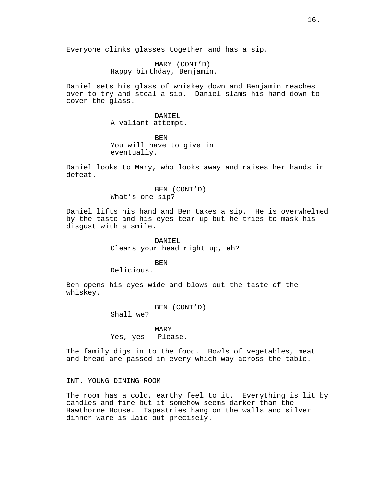Everyone clinks glasses together and has a sip.

MARY (CONT'D) Happy birthday, Benjamin.

Daniel sets his glass of whiskey down and Benjamin reaches over to try and steal a sip. Daniel slams his hand down to cover the glass.

> DANIEL A valiant attempt.

BEN You will have to give in eventually.

Daniel looks to Mary, who looks away and raises her hands in defeat.

> BEN (CONT'D) What's one sip?

Daniel lifts his hand and Ben takes a sip. He is overwhelmed by the taste and his eyes tear up but he tries to mask his disgust with a smile.

> DANIEL Clears your head right up, eh?

BEN Delicious.

Ben opens his eyes wide and blows out the taste of the whiskey.

> BEN (CONT'D) Shall we?

MARY Yes, yes. Please.

The family digs in to the food. Bowls of vegetables, meat and bread are passed in every which way across the table.

INT. YOUNG DINING ROOM

The room has a cold, earthy feel to it. Everything is lit by candles and fire but it somehow seems darker than the Hawthorne House. Tapestries hang on the walls and silver dinner-ware is laid out precisely.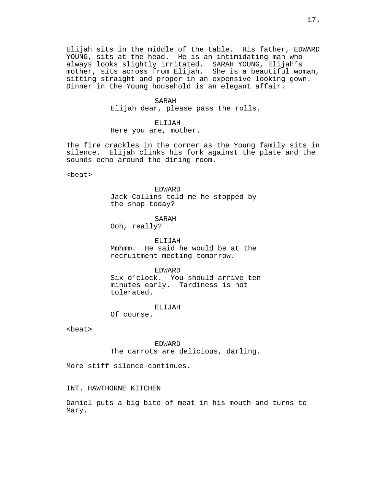Elijah sits in the middle of the table. His father, EDWARD YOUNG, sits at the head. He is an intimidating man who always looks slightly irritated. SARAH YOUNG, Elijah's mother, sits across from Elijah. She is a beautiful woman, sitting straight and proper in an expensive looking gown. Dinner in the Young household is an elegant affair.

#### SARAH

Elijah dear, please pass the rolls.

ELIJAH Here you are, mother.

The fire crackles in the corner as the Young family sits in silence. Elijah clinks his fork against the plate and the sounds echo around the dining room.

<beat>

EDWARD Jack Collins told me he stopped by the shop today?

SARAH Ooh, really?

ELIJAH Mmhmm. He said he would be at the recruitment meeting tomorrow.

EDWARD Six o'clock. You should arrive ten minutes early. Tardiness is not tolerated.

ELIJAH

Of course.

<beat>

EDWARD The carrots are delicious, darling.

More stiff silence continues.

INT. HAWTHORNE KITCHEN

Daniel puts a big bite of meat in his mouth and turns to Mary.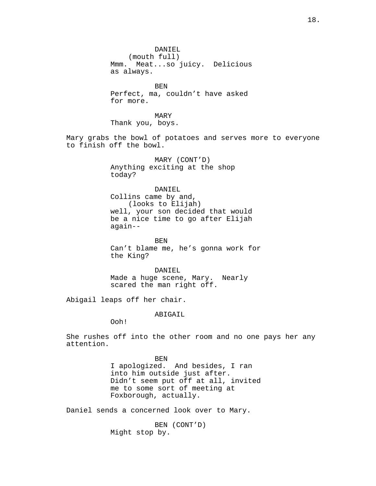DANTEL. (mouth full) Mmm. Meat...so juicy. Delicious as always. **BEN** Perfect, ma, couldn't have asked for more. MARY Thank you, boys. Mary grabs the bowl of potatoes and serves more to everyone to finish off the bowl. MARY (CONT'D) Anything exciting at the shop today? DANIEL Collins came by and, (looks to Elijah) well, your son decided that would be a nice time to go after Elijah again-- BEN Can't blame me, he's gonna work for the King? DANIEL Made a huge scene, Mary. Nearly scared the man right off.

Abigail leaps off her chair.

ABIGAIL

Ooh!

She rushes off into the other room and no one pays her any attention.

> BEN I apologized. And besides, I ran into him outside just after. Didn't seem put off at all, invited me to some sort of meeting at Foxborough, actually.

Daniel sends a concerned look over to Mary.

BEN (CONT'D) Might stop by.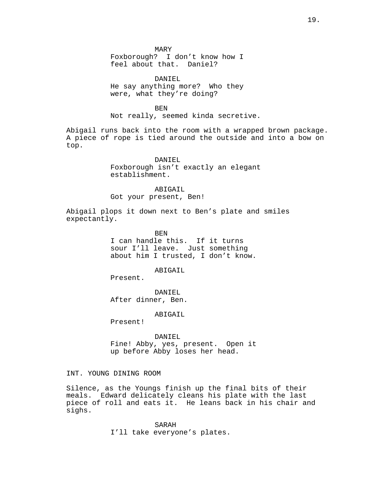MARY

Foxborough? I don't know how I feel about that. Daniel?

DANIEL He say anything more? Who they were, what they're doing?

BEN

Not really, seemed kinda secretive.

Abigail runs back into the room with a wrapped brown package. A piece of rope is tied around the outside and into a bow on top.

DANIEL

Foxborough isn't exactly an elegant establishment.

ABIGAIL Got your present, Ben!

Abigail plops it down next to Ben's plate and smiles

expectantly.

BEN I can handle this. If it turns sour I'll leave. Just something about him I trusted, I don't know.

ABIGAIL

Present.

DANIEL After dinner, Ben.

ABIGAIL

Present!

DANIEL Fine! Abby, yes, present. Open it up before Abby loses her head.

# INT. YOUNG DINING ROOM

Silence, as the Youngs finish up the final bits of their<br>meals. Edward delicately cleans his plate with the last Edward delicately cleans his plate with the last piece of roll and eats it. He leans back in his chair and sighs.

> SARAH I'll take everyone's plates.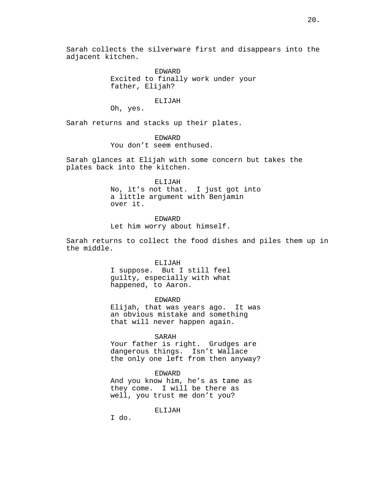EDWARD Excited to finally work under your father, Elijah?

ELIJAH

Oh, yes.

Sarah returns and stacks up their plates.

EDWARD You don't seem enthused.

Sarah glances at Elijah with some concern but takes the plates back into the kitchen.

ELIJAH

No, it's not that. I just got into a little argument with Benjamin over it.

EDWARD Let him worry about himself.

Sarah returns to collect the food dishes and piles them up in the middle.

### ELIJAH

I suppose. But I still feel guilty, especially with what happened, to Aaron.

EDWARD Elijah, that was years ago. It was an obvious mistake and something that will never happen again.

SARAH

Your father is right. Grudges are dangerous things. Isn't Wallace the only one left from then anyway?

### EDWARD

And you know him, he's as tame as they come. I will be there as well, you trust me don't you?

ELIJAH

I do.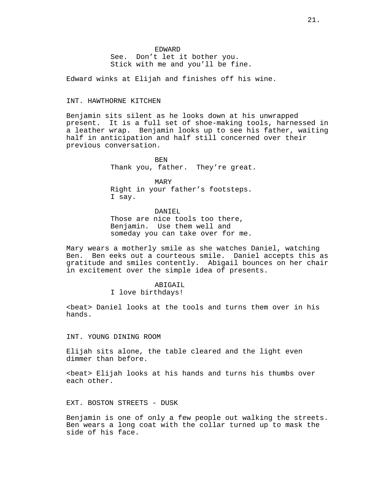# EDWARD See. Don't let it bother you. Stick with me and you'll be fine.

Edward winks at Elijah and finishes off his wine.

# INT. HAWTHORNE KITCHEN

Benjamin sits silent as he looks down at his unwrapped present. It is a full set of shoe-making tools, harnessed in a leather wrap. Benjamin looks up to see his father, waiting half in anticipation and half still concerned over their previous conversation.

> BEN Thank you, father. They're great.

MARY Right in your father's footsteps. I say.

DANIEL Those are nice tools too there, Benjamin. Use them well and someday you can take over for me.

Mary wears a motherly smile as she watches Daniel, watching Ben. Ben eeks out a courteous smile. Daniel accepts this as gratitude and smiles contently. Abigail bounces on her chair in excitement over the simple idea of presents.

> ABIGAIL I love birthdays!

<beat> Daniel looks at the tools and turns them over in his hands.

INT. YOUNG DINING ROOM

Elijah sits alone, the table cleared and the light even dimmer than before.

<beat> Elijah looks at his hands and turns his thumbs over each other.

EXT. BOSTON STREETS - DUSK

Benjamin is one of only a few people out walking the streets. Ben wears a long coat with the collar turned up to mask the side of his face.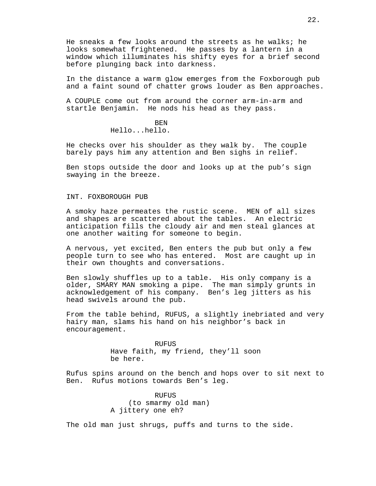He sneaks a few looks around the streets as he walks; he looks somewhat frightened. He passes by a lantern in a window which illuminates his shifty eyes for a brief second before plunging back into darkness.

In the distance a warm glow emerges from the Foxborough pub and a faint sound of chatter grows louder as Ben approaches.

A COUPLE come out from around the corner arm-in-arm and startle Benjamin. He nods his head as they pass.

# BEN

Hello...hello.

He checks over his shoulder as they walk by. The couple barely pays him any attention and Ben sighs in relief.

Ben stops outside the door and looks up at the pub's sign swaying in the breeze.

INT. FOXBOROUGH PUB

A smoky haze permeates the rustic scene. MEN of all sizes and shapes are scattered about the tables. An electric anticipation fills the cloudy air and men steal glances at one another waiting for someone to begin.

A nervous, yet excited, Ben enters the pub but only a few people turn to see who has entered. Most are caught up in their own thoughts and conversations.

Ben slowly shuffles up to a table. His only company is a older, SMARY MAN smoking a pipe. The man simply grunts in acknowledgement of his company. Ben's leg jitters as his head swivels around the pub.

From the table behind, RUFUS, a slightly inebriated and very hairy man, slams his hand on his neighbor's back in encouragement.

> RUFUS Have faith, my friend, they'll soon be here.

Rufus spins around on the bench and hops over to sit next to Ben. Rufus motions towards Ben's leg.

> RUFUS (to smarmy old man) A jittery one eh?

The old man just shrugs, puffs and turns to the side.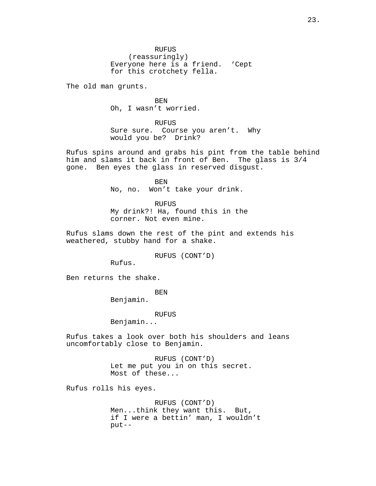RUFUS (reassuringly) Everyone here is a friend. 'Cept for this crotchety fella.

The old man grunts.

BEN Oh, I wasn't worried.

RUFUS Sure sure. Course you aren't. Why would you be? Drink?

Rufus spins around and grabs his pint from the table behind him and slams it back in front of Ben. The glass is 3/4 gone. Ben eyes the glass in reserved disgust.

> BEN No, no. Won't take your drink.

RUFUS My drink?! Ha, found this in the corner. Not even mine.

Rufus slams down the rest of the pint and extends his weathered, stubby hand for a shake.

RUFUS (CONT'D)

Rufus.

Ben returns the shake.

BEN

Benjamin.

RUFUS

Benjamin...

Rufus takes a look over both his shoulders and leans uncomfortably close to Benjamin.

> RUFUS (CONT'D) Let me put you in on this secret. Most of these...

Rufus rolls his eyes.

RUFUS (CONT'D) Men...think they want this. But, if I were a bettin' man, I wouldn't put--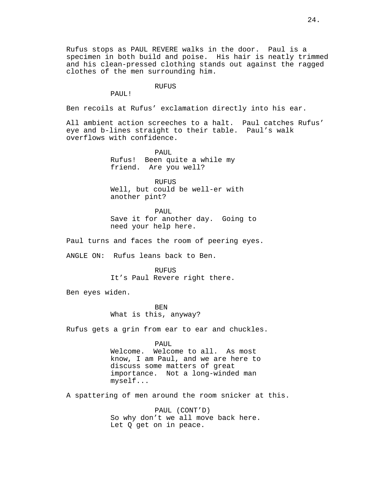#### **RUFUS**

PAUL!

Ben recoils at Rufus' exclamation directly into his ear.

All ambient action screeches to a halt. Paul catches Rufus' eye and b-lines straight to their table. Paul's walk overflows with confidence.

> PAUL Rufus! Been quite a while my friend. Are you well?

**RUFUS** Well, but could be well-er with another pint?

PAIII. Save it for another day. Going to need your help here.

Paul turns and faces the room of peering eyes.

ANGLE ON: Rufus leans back to Ben.

RUFUS

It's Paul Revere right there.

Ben eyes widen.

BEN What is this, anyway?

Rufus gets a grin from ear to ear and chuckles.

PAUL

Welcome. Welcome to all. As most know, I am Paul, and we are here to discuss some matters of great importance. Not a long-winded man myself...

A spattering of men around the room snicker at this.

PAUL (CONT'D) So why don't we all move back here. Let Q get on in peace.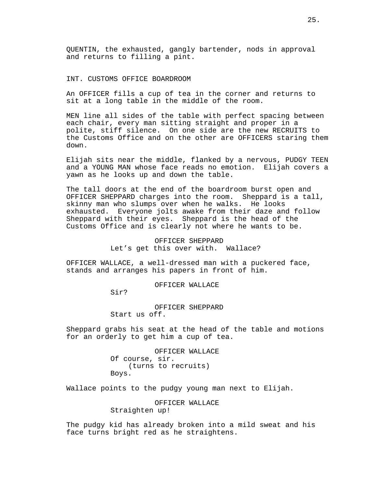QUENTIN, the exhausted, gangly bartender, nods in approval and returns to filling a pint.

### INT. CUSTOMS OFFICE BOARDROOM

An OFFICER fills a cup of tea in the corner and returns to sit at a long table in the middle of the room.

MEN line all sides of the table with perfect spacing between each chair, every man sitting straight and proper in a polite, stiff silence. On one side are the new RECRUITS to the Customs Office and on the other are OFFICERS staring them down.

Elijah sits near the middle, flanked by a nervous, PUDGY TEEN and a YOUNG MAN whose face reads no emotion. Elijah covers a yawn as he looks up and down the table.

The tall doors at the end of the boardroom burst open and OFFICER SHEPPARD charges into the room. Sheppard is a tall, skinny man who slumps over when he walks. He looks exhausted. Everyone jolts awake from their daze and follow Sheppard with their eyes. Sheppard is the head of the Customs Office and is clearly not where he wants to be.

> OFFICER SHEPPARD Let's get this over with. Wallace?

OFFICER WALLACE, a well-dressed man with a puckered face, stands and arranges his papers in front of him.

OFFICER WALLACE

Sir?

OFFICER SHEPPARD Start us off.

Sheppard grabs his seat at the head of the table and motions for an orderly to get him a cup of tea.

> OFFICER WALLACE Of course, sir. (turns to recruits) Boys.

Wallace points to the pudgy young man next to Elijah.

OFFICER WALLACE Straighten up!

The pudgy kid has already broken into a mild sweat and his face turns bright red as he straightens.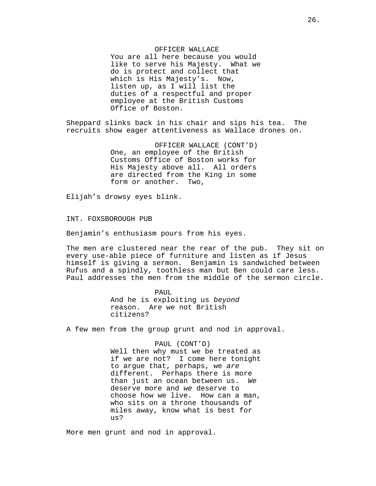OFFICER WALLACE You are all here because you would like to serve his Majesty. What we do is protect and collect that which is His Majesty's. Now, listen up, as I will list the duties of a respectful and proper employee at the British Customs Office of Boston.

Sheppard slinks back in his chair and sips his tea. The recruits show eager attentiveness as Wallace drones on.

> OFFICER WALLACE (CONT'D) One, an employee of the British Customs Office of Boston works for His Majesty above all. All orders are directed from the King in some form or another. Two,

Elijah's drowsy eyes blink.

INT. FOXSBOROUGH PUB

Benjamin's enthusiasm pours from his eyes.

The men are clustered near the rear of the pub. They sit on every use-able piece of furniture and listen as if Jesus himself is giving a sermon. Benjamin is sandwiched between Rufus and a spindly, toothless man but Ben could care less. Paul addresses the men from the middle of the sermon circle.

> PAUL And he is exploiting us beyond reason. Are we not British citizens?

A few men from the group grunt and nod in approval.

### PAUL (CONT'D)

Well then why must we be treated as if we are not? I come here tonight to argue that, perhaps, we are different. Perhaps there is more than just an ocean between us. We deserve more and we deserve to choose how we live. How can a man, who sits on a throne thousands of miles away, know what is best for us?

More men grunt and nod in approval.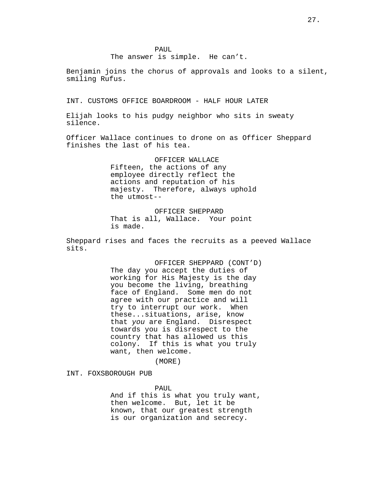The answer is simple. He can't.

Benjamin joins the chorus of approvals and looks to a silent, smiling Rufus.

INT. CUSTOMS OFFICE BOARDROOM - HALF HOUR LATER

Elijah looks to his pudgy neighbor who sits in sweaty silence.

Officer Wallace continues to drone on as Officer Sheppard finishes the last of his tea.

> OFFICER WALLACE Fifteen, the actions of any employee directly reflect the actions and reputation of his majesty. Therefore, always uphold the utmost--

OFFICER SHEPPARD That is all, Wallace. Your point is made.

Sheppard rises and faces the recruits as a peeved Wallace sits.

> OFFICER SHEPPARD (CONT'D) The day you accept the duties of working for His Majesty is the day you become the living, breathing face of England. Some men do not agree with our practice and will try to interrupt our work. When these...situations, arise, know that you are England. Disrespect towards you is disrespect to the country that has allowed us this colony. If this is what you truly want, then welcome.

> > (MORE)

INT. FOXSBOROUGH PUB

PAUL And if this is what you truly want, then welcome. But, let it be known, that our greatest strength is our organization and secrecy.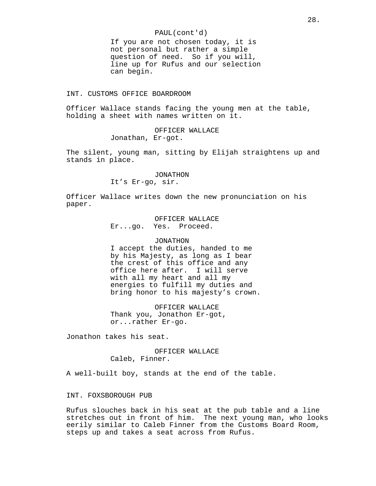### PAUL(cont'd)

If you are not chosen today, it is not personal but rather a simple question of need. So if you will, line up for Rufus and our selection can begin.

### INT. CUSTOMS OFFICE BOARDROOM

Officer Wallace stands facing the young men at the table, holding a sheet with names written on it.

> OFFICER WALLACE Jonathan, Er-got.

The silent, young man, sitting by Elijah straightens up and stands in place.

#### JONATHON

It's Er-go, sir.

Officer Wallace writes down the new pronunciation on his paper.

> OFFICER WALLACE Er...go. Yes. Proceed.

### JONATHON

I accept the duties, handed to me by his Majesty, as long as I bear the crest of this office and any office here after. I will serve with all my heart and all my energies to fulfill my duties and bring honor to his majesty's crown.

OFFICER WALLACE Thank you, Jonathon Er-got, or...rather Er-go.

Jonathon takes his seat.

OFFICER WALLACE Caleb, Finner.

A well-built boy, stands at the end of the table.

## INT. FOXSBOROUGH PUB

Rufus slouches back in his seat at the pub table and a line stretches out in front of him. The next young man, who looks eerily similar to Caleb Finner from the Customs Board Room, steps up and takes a seat across from Rufus.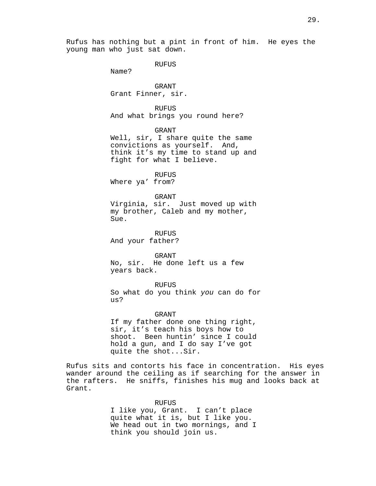Rufus has nothing but a pint in front of him. He eyes the young man who just sat down.

RUFUS

Name?

GRANT Grant Finner, sir.

RUFUS And what brings you round here?

GRANT

Well, sir, I share quite the same convictions as yourself. And, think it's my time to stand up and fight for what I believe.

RUFUS

Where ya' from?

## GRANT

Virginia, sir. Just moved up with my brother, Caleb and my mother, Sue.

RUFUS And your father?

GRANT No, sir. He done left us a few years back.

RUFUS So what do you think you can do for us?

### GRANT

If my father done one thing right, sir, it's teach his boys how to shoot. Been huntin' since I could hold a gun, and I do say I've got quite the shot...Sir.

Rufus sits and contorts his face in concentration. His eyes wander around the ceiling as if searching for the answer in the rafters. He sniffs, finishes his mug and looks back at Grant.

#### RUFUS

I like you, Grant. I can't place quite what it is, but I like you. We head out in two mornings, and I think you should join us.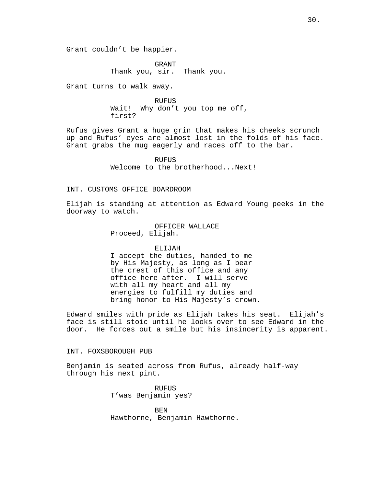Grant couldn't be happier.

GRANT Thank you, sir. Thank you.

Grant turns to walk away.

RUFUS Wait! Why don't you top me off, first?

Rufus gives Grant a huge grin that makes his cheeks scrunch up and Rufus' eyes are almost lost in the folds of his face. Grant grabs the mug eagerly and races off to the bar.

> RUFUS Welcome to the brotherhood...Next!

# INT. CUSTOMS OFFICE BOARDROOM

Elijah is standing at attention as Edward Young peeks in the doorway to watch.

> OFFICER WALLACE Proceed, Elijah.

### ELIJAH

I accept the duties, handed to me by His Majesty, as long as I bear the crest of this office and any office here after. I will serve with all my heart and all my energies to fulfill my duties and bring honor to His Majesty's crown.

Edward smiles with pride as Elijah takes his seat. Elijah's face is still stoic until he looks over to see Edward in the door. He forces out a smile but his insincerity is apparent.

# INT. FOXSBOROUGH PUB

Benjamin is seated across from Rufus, already half-way through his next pint.

> RUFUS T'was Benjamin yes?

**BEN** Hawthorne, Benjamin Hawthorne.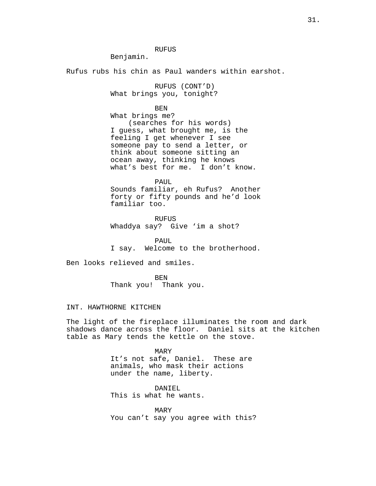RUFUS

Benjamin.

Rufus rubs his chin as Paul wanders within earshot.

RUFUS (CONT'D) What brings you, tonight?

BEN

What brings me? (searches for his words) I guess, what brought me, is the feeling I get whenever I see someone pay to send a letter, or think about someone sitting an ocean away, thinking he knows what's best for me. I don't know.

PAUL

Sounds familiar, eh Rufus? Another forty or fifty pounds and he'd look familiar too.

RUFUS Whaddya say? Give 'im a shot?

PAUL I say. Welcome to the brotherhood.

Ben looks relieved and smiles.

BEN Thank you! Thank you.

# INT. HAWTHORNE KITCHEN

The light of the fireplace illuminates the room and dark shadows dance across the floor. Daniel sits at the kitchen table as Mary tends the kettle on the stove.

> MARY It's not safe, Daniel. These are animals, who mask their actions under the name, liberty.

DANIEL This is what he wants.

MARY You can't say you agree with this?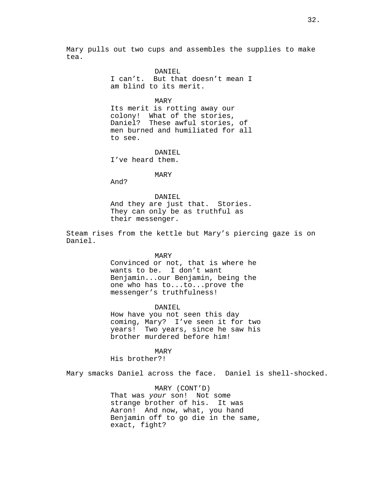Mary pulls out two cups and assembles the supplies to make tea.

> DANIEL I can't. But that doesn't mean I am blind to its merit.

> > MARY

Its merit is rotting away our colony! What of the stories, Daniel? These awful stories, of men burned and humiliated for all to see.

DANIEL I've heard them.

MARY

And?

DANIEL And they are just that. Stories. They can only be as truthful as their messenger.

Steam rises from the kettle but Mary's piercing gaze is on Daniel.

MARY

Convinced or not, that is where he wants to be. I don't want Benjamin...our Benjamin, being the one who has to...to...prove the messenger's truthfulness!

DANIEL How have you not seen this day coming, Mary? I've seen it for two years! Two years, since he saw his brother murdered before him!

MARY His brother?!

Mary smacks Daniel across the face. Daniel is shell-shocked.

MARY (CONT'D) That was your son! Not some strange brother of his. It was Aaron! And now, what, you hand Benjamin off to go die in the same, exact, fight?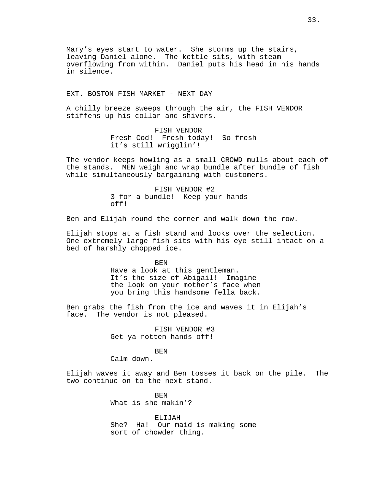Mary's eyes start to water. She storms up the stairs, leaving Daniel alone. The kettle sits, with steam overflowing from within. Daniel puts his head in his hands in silence.

EXT. BOSTON FISH MARKET - NEXT DAY

A chilly breeze sweeps through the air, the FISH VENDOR stiffens up his collar and shivers.

> FISH VENDOR Fresh Cod! Fresh today! So fresh it's still wrigglin'!

The vendor keeps howling as a small CROWD mulls about each of the stands. MEN weigh and wrap bundle after bundle of fish while simultaneously bargaining with customers.

> FISH VENDOR #2 3 for a bundle! Keep your hands off!

Ben and Elijah round the corner and walk down the row.

Elijah stops at a fish stand and looks over the selection. One extremely large fish sits with his eye still intact on a bed of harshly chopped ice.

BEN

Have a look at this gentleman. It's the size of Abigail! Imagine the look on your mother's face when you bring this handsome fella back.

Ben grabs the fish from the ice and waves it in Elijah's face. The vendor is not pleased.

> FISH VENDOR #3 Get ya rotten hands off!

### BEN

Calm down.

Elijah waves it away and Ben tosses it back on the pile. The two continue on to the next stand.

> BEN What is she makin'?

ELIJAH She? Ha! Our maid is making some sort of chowder thing.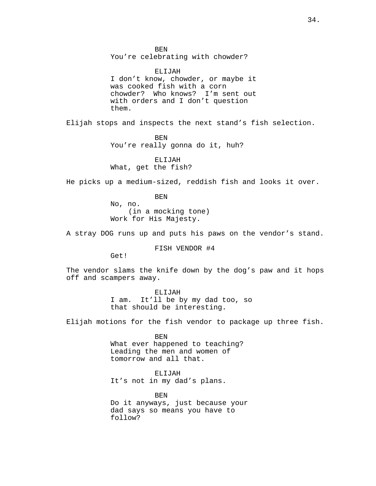BEN You're celebrating with chowder?

ELIJAH I don't know, chowder, or maybe it was cooked fish with a corn chowder? Who knows? I'm sent out with orders and I don't question them.

Elijah stops and inspects the next stand's fish selection.

BEN You're really gonna do it, huh?

ELIJAH What, get the fish?

He picks up a medium-sized, reddish fish and looks it over.

BEN

No, no. (in a mocking tone) Work for His Majesty.

A stray DOG runs up and puts his paws on the vendor's stand.

FISH VENDOR #4

Get!

The vendor slams the knife down by the dog's paw and it hops off and scampers away.

ELIJAH

I am. It'll be by my dad too, so that should be interesting.

Elijah motions for the fish vendor to package up three fish.

BEN What ever happened to teaching? Leading the men and women of tomorrow and all that.

ELIJAH It's not in my dad's plans.

BEN Do it anyways, just because your dad says so means you have to follow?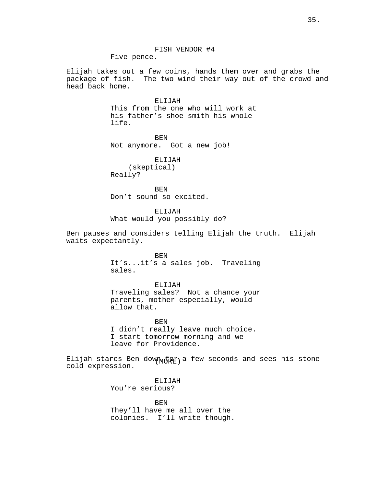FISH VENDOR #4 Five pence.

Elijah takes out a few coins, hands them over and grabs the package of fish. The two wind their way out of the crowd and head back home.

## ELIJAH

This from the one who will work at his father's shoe-smith his whole life.

BEN Not anymore. Got a new job!

ELIJAH (skeptical) Really?

BEN Don't sound so excited.

ELIJAH What would you possibly do?

Ben pauses and considers telling Elijah the truth. Elijah waits expectantly.

> BEN It's...it's a sales job. Traveling sales.

> ELIJAH Traveling sales? Not a chance your parents, mother especially, would allow that.

BEN I didn't really leave much choice. I start tomorrow morning and we leave for Providence.

Elijah stares Ben dow $_{\rm M}$  $_{\rm IR}$  a few seconds and sees his stone cold expression.

> ELIJAH You're serious?

BEN They'll have me all over the colonies. I'll write though.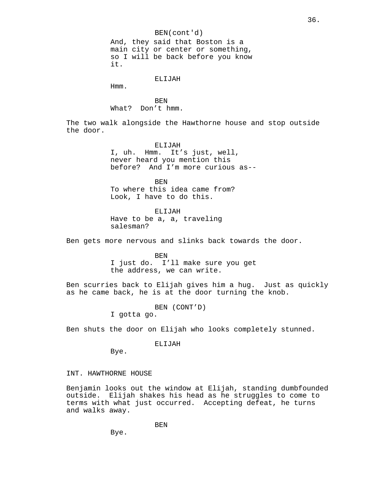BEN(cont'd) And, they said that Boston is a main city or center or something, so I will be back before you know it.

ELIJAH

Hmm.

BEN What? Don't hmm.

The two walk alongside the Hawthorne house and stop outside the door.

> ELIJAH I, uh. Hmm. It's just, well, never heard you mention this before? And I'm more curious as--

BEN To where this idea came from? Look, I have to do this.

ELIJAH Have to be a, a, traveling salesman?

Ben gets more nervous and slinks back towards the door.

BEN I just do. I'll make sure you get the address, we can write.

Ben scurries back to Elijah gives him a hug. Just as quickly as he came back, he is at the door turning the knob.

BEN (CONT'D)

I gotta go.

Ben shuts the door on Elijah who looks completely stunned.

ELIJAH

Bye.

INT. HAWTHORNE HOUSE

Benjamin looks out the window at Elijah, standing dumbfounded outside. Elijah shakes his head as he struggles to come to terms with what just occurred. Accepting defeat, he turns and walks away.

BEN

Bye.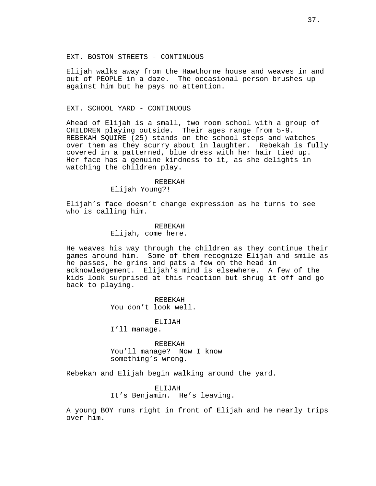Elijah walks away from the Hawthorne house and weaves in and out of PEOPLE in a daze. The occasional person brushes up against him but he pays no attention.

# EXT. SCHOOL YARD - CONTINUOUS

Ahead of Elijah is a small, two room school with a group of CHILDREN playing outside. Their ages range from 5-9. REBEKAH SQUIRE (25) stands on the school steps and watches over them as they scurry about in laughter. Rebekah is fully covered in a patterned, blue dress with her hair tied up. Her face has a genuine kindness to it, as she delights in watching the children play.

#### REBEKAH

Elijah Young?!

Elijah's face doesn't change expression as he turns to see who is calling him.

# REBEKAH

Elijah, come here.

He weaves his way through the children as they continue their games around him. Some of them recognize Elijah and smile as he passes, he grins and pats a few on the head in acknowledgement. Elijah's mind is elsewhere. A few of the kids look surprised at this reaction but shrug it off and go back to playing.

> REBEKAH You don't look well.

> > ELIJAH

I'll manage.

REBEKAH You'll manage? Now I know something's wrong.

Rebekah and Elijah begin walking around the yard.

ELIJAH It's Benjamin. He's leaving.

A young BOY runs right in front of Elijah and he nearly trips over him.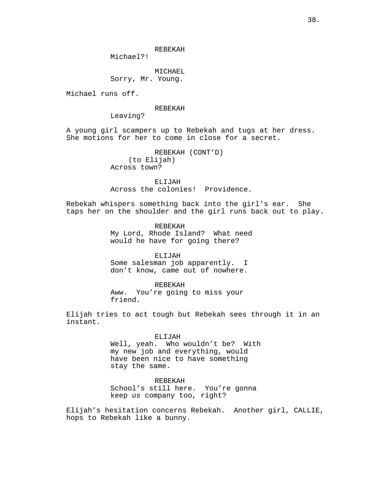REBEKAH

Michael?!

MICHAEL Sorry, Mr. Young.

Michael runs off.

#### REBEKAH

Leaving?

A young girl scampers up to Rebekah and tugs at her dress. She motions for her to come in close for a secret.

> REBEKAH (CONT'D) (to Elijah) Across town?

ELIJAH Across the colonies! Providence.

Rebekah whispers something back into the girl's ear. She taps her on the shoulder and the girl runs back out to play.

> REBEKAH My Lord, Rhode Island? What need would he have for going there?

ELIJAH Some salesman job apparently. I don't know, came out of nowhere.

REBEKAH Aww. You're going to miss your friend.

Elijah tries to act tough but Rebekah sees through it in an instant.

> ELIJAH Well, yeah. Who wouldn't be? With my new job and everything, would have been nice to have something stay the same.

REBEKAH School's still here. You're gonna keep us company too, right?

Elijah's hesitation concerns Rebekah. Another girl, CALLIE, hops to Rebekah like a bunny.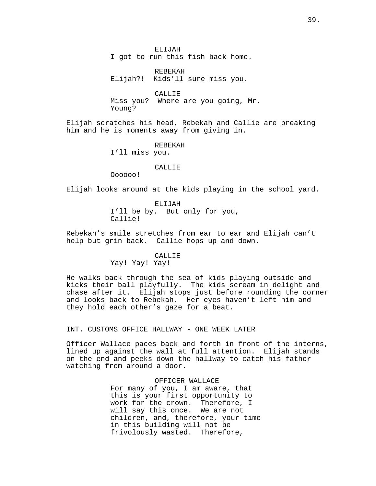ELIJAH I got to run this fish back home.

REBEKAH Elijah?! Kids'll sure miss you.

CALLIE Miss you? Where are you going, Mr. Young?

Elijah scratches his head, Rebekah and Callie are breaking him and he is moments away from giving in.

#### REBEKAH

I'll miss you.

# **CALLIE**

Oooooo!

Elijah looks around at the kids playing in the school yard.

ELIJAH I'll be by. But only for you, Callie!

Rebekah's smile stretches from ear to ear and Elijah can't help but grin back. Callie hops up and down.

#### CALLIE

Yay! Yay! Yay!

He walks back through the sea of kids playing outside and kicks their ball playfully. The kids scream in delight and chase after it. Elijah stops just before rounding the corner and looks back to Rebekah. Her eyes haven't left him and they hold each other's gaze for a beat.

### INT. CUSTOMS OFFICE HALLWAY - ONE WEEK LATER

Officer Wallace paces back and forth in front of the interns, lined up against the wall at full attention. Elijah stands on the end and peeks down the hallway to catch his father watching from around a door.

> OFFICER WALLACE For many of you, I am aware, that this is your first opportunity to work for the crown. Therefore, I will say this once. We are not children, and, therefore, your time in this building will not be frivolously wasted. Therefore,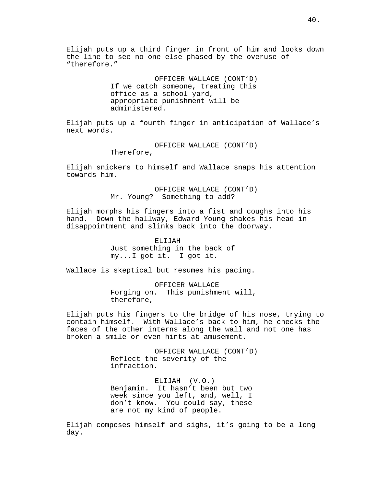Elijah puts up a third finger in front of him and looks down the line to see no one else phased by the overuse of "therefore."

> OFFICER WALLACE (CONT'D) If we catch someone, treating this office as a school yard, appropriate punishment will be administered.

Elijah puts up a fourth finger in anticipation of Wallace's next words.

> OFFICER WALLACE (CONT'D) Therefore,

Elijah snickers to himself and Wallace snaps his attention towards him.

> OFFICER WALLACE (CONT'D) Mr. Young? Something to add?

Elijah morphs his fingers into a fist and coughs into his hand. Down the hallway, Edward Young shakes his head in disappointment and slinks back into the doorway.

> ELIJAH Just something in the back of my...I got it. I got it.

Wallace is skeptical but resumes his pacing.

OFFICER WALLACE Forging on. This punishment will, therefore,

Elijah puts his fingers to the bridge of his nose, trying to contain himself. With Wallace's back to him, he checks the faces of the other interns along the wall and not one has broken a smile or even hints at amusement.

> OFFICER WALLACE (CONT'D) Reflect the severity of the infraction.

ELIJAH (V.O.) Benjamin. It hasn't been but two week since you left, and, well, I don't know. You could say, these are not my kind of people.

Elijah composes himself and sighs, it's going to be a long day.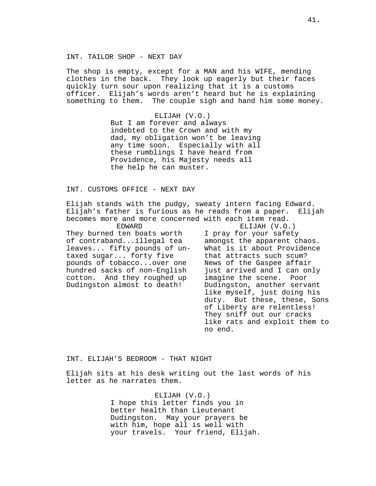The shop is empty, except for a MAN and his WIFE, mending clothes in the back. They look up eagerly but their faces quickly turn sour upon realizing that it is a customs officer. Elijah's words aren't heard but he is explaining something to them. The couple sigh and hand him some money.

> ELIJAH (V.O.) But I am forever and always indebted to the Crown and with my dad, my obligation won't be leaving any time soon. Especially with all these rumblings I have heard from Providence, his Majesty needs all the help he can muster.

# INT. CUSTOMS OFFICE - NEXT DAY

Elijah stands with the pudgy, sweaty intern facing Edward. Elijah's father is furious as he reads from a paper. Elijah becomes more and more concerned with each item read.

EDWARD They burned ten boats worth of contraband...illegal tea leaves... fifty pounds of untaxed sugar... forty five pounds of tobacco...over one hundred sacks of non-English cotton. And they roughed up Dudingston almost to death!

ELIJAH (V.O.) I pray for your safety amongst the apparent chaos. What is it about Providence that attracts such scum? News of the Gaspee affair just arrived and I can only imagine the scene. Poor Dudingston, another servant like myself, just doing his duty. But these, these, Sons of Liberty are relentless! They sniff out our cracks like rats and exploit them to no end.

# INT. ELIJAH'S BEDROOM - THAT NIGHT

Elijah sits at his desk writing out the last words of his letter as he narrates them.

> ELIJAH (V.O.) I hope this letter finds you in better health than Lieutenant Dudingston. May your prayers be with him, hope all is well with your travels. Your friend, Elijah.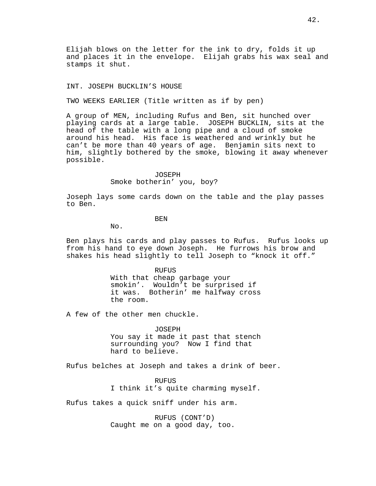Elijah blows on the letter for the ink to dry, folds it up and places it in the envelope. Elijah grabs his wax seal and stamps it shut.

### INT. JOSEPH BUCKLIN'S HOUSE

TWO WEEKS EARLIER (Title written as if by pen)

A group of MEN, including Rufus and Ben, sit hunched over playing cards at a large table. JOSEPH BUCKLIN, sits at the head of the table with a long pipe and a cloud of smoke around his head. His face is weathered and wrinkly but he can't be more than 40 years of age. Benjamin sits next to him, slightly bothered by the smoke, blowing it away whenever possible.

## JOSEPH Smoke botherin' you, boy?

Joseph lays some cards down on the table and the play passes to Ben.

BEN

No.

Ben plays his cards and play passes to Rufus. Rufus looks up from his hand to eye down Joseph. He furrows his brow and shakes his head slightly to tell Joseph to "knock it off."

> RUFUS With that cheap garbage your smokin'. Wouldn't be surprised if it was. Botherin' me halfway cross the room.

A few of the other men chuckle.

JOSEPH

You say it made it past that stench surrounding you? Now I find that hard to believe.

Rufus belches at Joseph and takes a drink of beer.

RUFUS I think it's quite charming myself.

Rufus takes a quick sniff under his arm.

RUFUS (CONT'D) Caught me on a good day, too.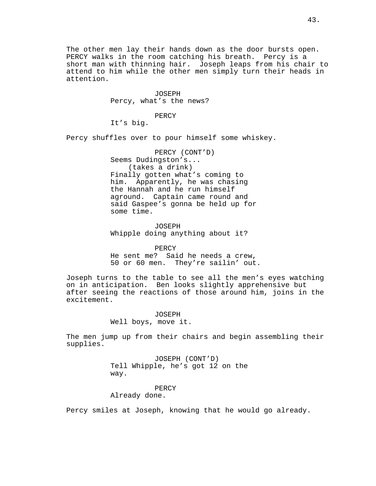The other men lay their hands down as the door bursts open. PERCY walks in the room catching his breath. Percy is a short man with thinning hair. Joseph leaps from his chair to attend to him while the other men simply turn their heads in attention.

> JOSEPH Percy, what's the news?

### PERCY

It's big.

Percy shuffles over to pour himself some whiskey.

PERCY (CONT'D) Seems Dudingston's... (takes a drink) Finally gotten what's coming to him. Apparently, he was chasing the Hannah and he run himself aground. Captain came round and said Gaspee's gonna be held up for some time.

JOSEPH Whipple doing anything about it?

**PERCY** He sent me? Said he needs a crew, 50 or 60 men. They're sailin' out.

Joseph turns to the table to see all the men's eyes watching on in anticipation. Ben looks slightly apprehensive but after seeing the reactions of those around him, joins in the excitement.

> JOSEPH Well boys, move it.

The men jump up from their chairs and begin assembling their supplies.

> JOSEPH (CONT'D) Tell Whipple, he's got 12 on the way.

# PERCY

Already done.

Percy smiles at Joseph, knowing that he would go already.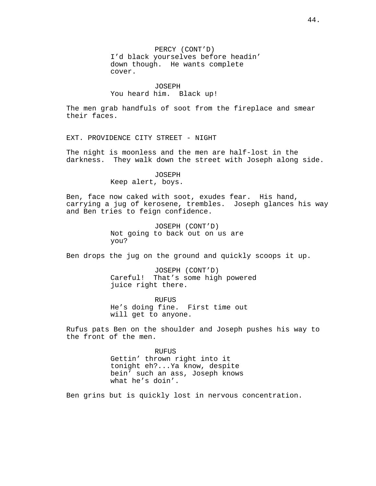PERCY (CONT'D) I'd black yourselves before headin' down though. He wants complete cover.

JOSEPH You heard him. Black up!

The men grab handfuls of soot from the fireplace and smear their faces.

EXT. PROVIDENCE CITY STREET - NIGHT

The night is moonless and the men are half-lost in the darkness. They walk down the street with Joseph along side.

> JOSEPH Keep alert, boys.

Ben, face now caked with soot, exudes fear. His hand, carrying a jug of kerosene, trembles. Joseph glances his way and Ben tries to feign confidence.

> JOSEPH (CONT'D) Not going to back out on us are you?

Ben drops the jug on the ground and quickly scoops it up.

JOSEPH (CONT'D) Careful! That's some high powered juice right there.

RUFUS He's doing fine. First time out will get to anyone.

Rufus pats Ben on the shoulder and Joseph pushes his way to the front of the men.

> RUFUS Gettin' thrown right into it tonight eh?...Ya know, despite bein' such an ass, Joseph knows what he's doin'.

Ben grins but is quickly lost in nervous concentration.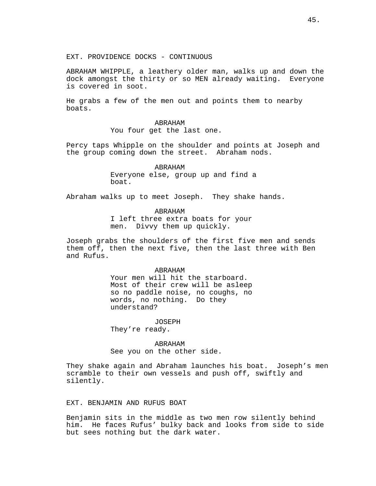EXT. PROVIDENCE DOCKS - CONTINUOUS

ABRAHAM WHIPPLE, a leathery older man, walks up and down the dock amongst the thirty or so MEN already waiting. Everyone is covered in soot.

He grabs a few of the men out and points them to nearby boats.

> ABRAHAM You four get the last one.

Percy taps Whipple on the shoulder and points at Joseph and the group coming down the street. Abraham nods.

> ABRAHAM Everyone else, group up and find a boat.

Abraham walks up to meet Joseph. They shake hands.

ABRAHAM

I left three extra boats for your men. Divvy them up quickly.

Joseph grabs the shoulders of the first five men and sends them off, then the next five, then the last three with Ben and Rufus.

#### ABRAHAM

Your men will hit the starboard. Most of their crew will be asleep so no paddle noise, no coughs, no words, no nothing. Do they understand?

JOSEPH

They're ready.

ABRAHAM See you on the other side.

They shake again and Abraham launches his boat. Joseph's men scramble to their own vessels and push off, swiftly and silently.

# EXT. BENJAMIN AND RUFUS BOAT

Benjamin sits in the middle as two men row silently behind him. He faces Rufus' bulky back and looks from side to side but sees nothing but the dark water.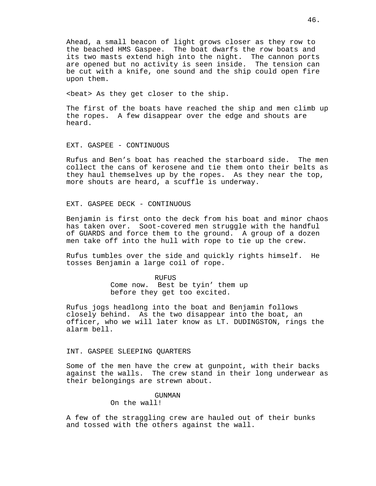Ahead, a small beacon of light grows closer as they row to the beached HMS Gaspee. The boat dwarfs the row boats and its two masts extend high into the night. The cannon ports are opened but no activity is seen inside. The tension can be cut with a knife, one sound and the ship could open fire upon them.

<beat> As they get closer to the ship.

The first of the boats have reached the ship and men climb up the ropes. A few disappear over the edge and shouts are heard.

# EXT. GASPEE - CONTINUOUS

Rufus and Ben's boat has reached the starboard side. The men collect the cans of kerosene and tie them onto their belts as they haul themselves up by the ropes. As they near the top, more shouts are heard, a scuffle is underway.

EXT. GASPEE DECK - CONTINUOUS

Benjamin is first onto the deck from his boat and minor chaos has taken over. Soot-covered men struggle with the handful of GUARDS and force them to the ground. A group of a dozen men take off into the hull with rope to tie up the crew.

Rufus tumbles over the side and quickly rights himself. He tosses Benjamin a large coil of rope.

> RUFUS Come now. Best be tyin' them up before they get too excited.

Rufus jogs headlong into the boat and Benjamin follows closely behind. As the two disappear into the boat, an officer, who we will later know as LT. DUDINGSTON, rings the alarm bell.

### INT. GASPEE SLEEPING QUARTERS

Some of the men have the crew at gunpoint, with their backs against the walls. The crew stand in their long underwear as their belongings are strewn about.

# GUNMAN

On the wall!

A few of the straggling crew are hauled out of their bunks and tossed with the others against the wall.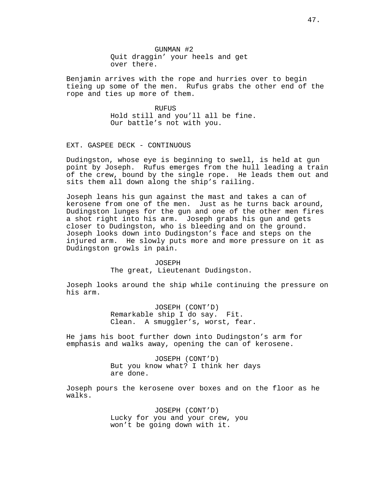GUNMAN #2 Quit draggin' your heels and get over there.

Benjamin arrives with the rope and hurries over to begin tieing up some of the men. Rufus grabs the other end of the rope and ties up more of them.

> RUFUS Hold still and you'll all be fine. Our battle's not with you.

EXT. GASPEE DECK - CONTINUOUS

Dudingston, whose eye is beginning to swell, is held at gun point by Joseph. Rufus emerges from the hull leading a train of the crew, bound by the single rope. He leads them out and sits them all down along the ship's railing.

Joseph leans his gun against the mast and takes a can of kerosene from one of the men. Just as he turns back around, Dudingston lunges for the gun and one of the other men fires a shot right into his arm. Joseph grabs his gun and gets closer to Dudingston, who is bleeding and on the ground. Joseph looks down into Dudingston's face and steps on the injured arm. He slowly puts more and more pressure on it as Dudingston growls in pain.

#### JOSEPH

The great, Lieutenant Dudingston.

Joseph looks around the ship while continuing the pressure on his arm.

> JOSEPH (CONT'D) Remarkable ship I do say. Fit. Clean. A smuggler's, worst, fear.

He jams his boot further down into Dudingston's arm for emphasis and walks away, opening the can of kerosene.

> JOSEPH (CONT'D) But you know what? I think her days are done.

Joseph pours the kerosene over boxes and on the floor as he walks.

> JOSEPH (CONT'D) Lucky for you and your crew, you won't be going down with it.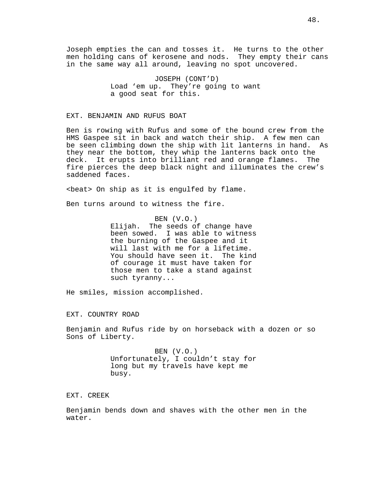Joseph empties the can and tosses it. He turns to the other men holding cans of kerosene and nods. They empty their cans in the same way all around, leaving no spot uncovered.

> JOSEPH (CONT'D) Load 'em up. They're going to want a good seat for this.

## EXT. BENJAMIN AND RUFUS BOAT

Ben is rowing with Rufus and some of the bound crew from the HMS Gaspee sit in back and watch their ship. A few men can be seen climbing down the ship with lit lanterns in hand. As they near the bottom, they whip the lanterns back onto the deck. It erupts into brilliant red and orange flames. The fire pierces the deep black night and illuminates the crew's saddened faces.

<beat> On ship as it is engulfed by flame.

Ben turns around to witness the fire.

BEN (V.O.) Elijah. The seeds of change have been sowed. I was able to witness the burning of the Gaspee and it will last with me for a lifetime. You should have seen it. The kind of courage it must have taken for those men to take a stand against such tyranny...

He smiles, mission accomplished.

EXT. COUNTRY ROAD

Benjamin and Rufus ride by on horseback with a dozen or so Sons of Liberty.

> BEN (V.O.) Unfortunately, I couldn't stay for long but my travels have kept me busy.

EXT. CREEK

Benjamin bends down and shaves with the other men in the water.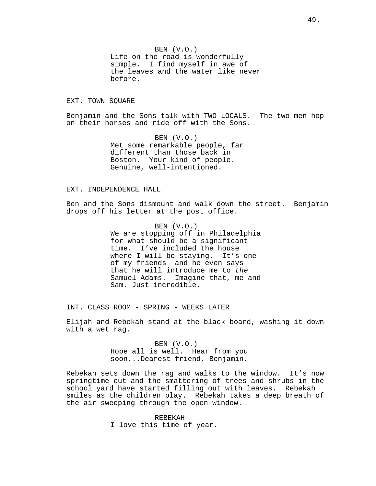BEN (V.O.) Life on the road is wonderfully simple. I find myself in awe of the leaves and the water like never before.

### EXT. TOWN SQUARE

Benjamin and the Sons talk with TWO LOCALS. The two men hop on their horses and ride off with the Sons.

> BEN (V.O.) Met some remarkable people, far different than those back in Boston. Your kind of people. Genuine, well-intentioned.

# EXT. INDEPENDENCE HALL

Ben and the Sons dismount and walk down the street. Benjamin drops off his letter at the post office.

> BEN (V.O.) We are stopping off in Philadelphia for what should be a significant time. I've included the house where I will be staying. It's one of my friends and he even says that he will introduce me to the Samuel Adams. Imagine that, me and Sam. Just incredible.

INT. CLASS ROOM - SPRING - WEEKS LATER

Elijah and Rebekah stand at the black board, washing it down with a wet rag.

> BEN (V.O.) Hope all is well. Hear from you soon...Dearest friend, Benjamin.

Rebekah sets down the rag and walks to the window. It's now springtime out and the smattering of trees and shrubs in the school yard have started filling out with leaves. Rebekah smiles as the children play. Rebekah takes a deep breath of the air sweeping through the open window.

> REBEKAH I love this time of year.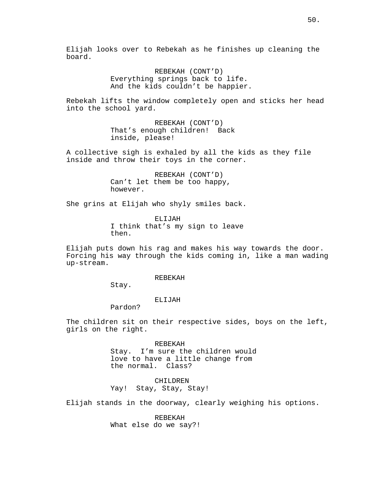Elijah looks over to Rebekah as he finishes up cleaning the board.

> REBEKAH (CONT'D) Everything springs back to life. And the kids couldn't be happier.

Rebekah lifts the window completely open and sticks her head into the school yard.

> REBEKAH (CONT'D) That's enough children! Back inside, please!

A collective sigh is exhaled by all the kids as they file inside and throw their toys in the corner.

> REBEKAH (CONT'D) Can't let them be too happy, however.

She grins at Elijah who shyly smiles back.

ELIJAH I think that's my sign to leave then.

Elijah puts down his rag and makes his way towards the door. Forcing his way through the kids coming in, like a man wading up-stream.

#### REBEKAH

Stay.

#### ELIJAH

Pardon?

The children sit on their respective sides, boys on the left, girls on the right.

> REBEKAH Stay. I'm sure the children would love to have a little change from the normal. Class?

CHILDREN Yay! Stay, Stay, Stay!

Elijah stands in the doorway, clearly weighing his options.

REBEKAH What else do we say?!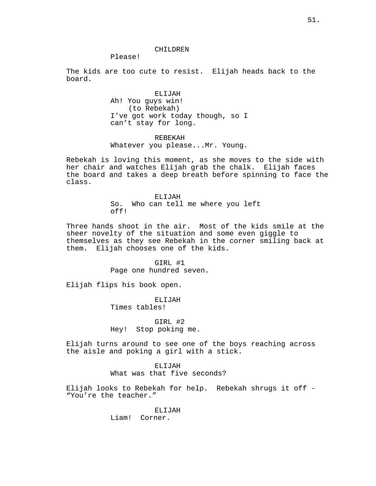#### CHILDREN

Please!

The kids are too cute to resist. Elijah heads back to the board.

> ELIJAH Ah! You guys win! (to Rebekah) I've got work today though, so I can't stay for long.

> REBEKAH Whatever you please...Mr. Young.

Rebekah is loving this moment, as she moves to the side with her chair and watches Elijah grab the chalk. Elijah faces the board and takes a deep breath before spinning to face the class.

> ELIJAH So. Who can tell me where you left off!

Three hands shoot in the air. Most of the kids smile at the sheer novelty of the situation and some even giggle to themselves as they see Rebekah in the corner smiling back at them. Elijah chooses one of the kids.

> GIRL #1 Page one hundred seven.

Elijah flips his book open.

ELIJAH Times tables!

GIRL #2 Hey! Stop poking me.

Elijah turns around to see one of the boys reaching across the aisle and poking a girl with a stick.

> ELIJAH What was that five seconds?

Elijah looks to Rebekah for help. Rebekah shrugs it off - "You're the teacher."

> ELIJAH Liam! Corner.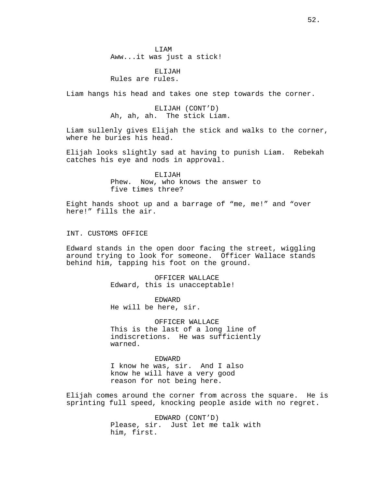LIAM Aww...it was just a stick!

ELIJAH Rules are rules.

Liam hangs his head and takes one step towards the corner.

ELIJAH (CONT'D) Ah, ah, ah. The stick Liam.

Liam sullenly gives Elijah the stick and walks to the corner, where he buries his head.

Elijah looks slightly sad at having to punish Liam. Rebekah catches his eye and nods in approval.

> ELIJAH Phew. Now, who knows the answer to five times three?

Eight hands shoot up and a barrage of "me, me!" and "over here!" fills the air.

INT. CUSTOMS OFFICE

Edward stands in the open door facing the street, wiggling around trying to look for someone. Officer Wallace stands behind him, tapping his foot on the ground.

> OFFICER WALLACE Edward, this is unacceptable!

EDWARD He will be here, sir.

OFFICER WALLACE This is the last of a long line of indiscretions. He was sufficiently warned.

EDWARD I know he was, sir. And I also know he will have a very good reason for not being here.

Elijah comes around the corner from across the square. He is sprinting full speed, knocking people aside with no regret.

> EDWARD (CONT'D) Please, sir. Just let me talk with him, first.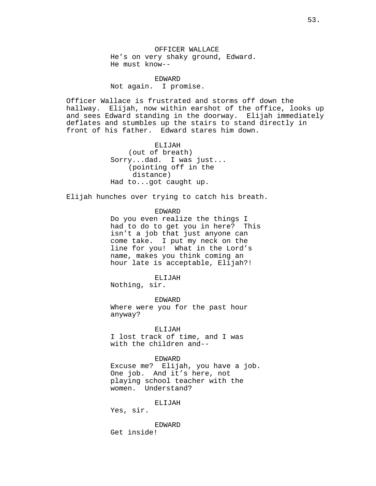OFFICER WALLACE He's on very shaky ground, Edward. He must know--

EDWARD Not again. I promise.

Officer Wallace is frustrated and storms off down the hallway. Elijah, now within earshot of the office, looks up and sees Edward standing in the doorway. Elijah immediately deflates and stumbles up the stairs to stand directly in front of his father. Edward stares him down.

> ELIJAH (out of breath) Sorry...dad. I was just... (pointing off in the distance) Had to...got caught up.

Elijah hunches over trying to catch his breath.

#### EDWARD

Do you even realize the things I had to do to get you in here? This isn't a job that just anyone can come take. I put my neck on the line for you! What in the Lord's name, makes you think coming an hour late is acceptable, Elijah?!

## ELIJAH

Nothing, sir.

EDWARD Where were you for the past hour anyway?

#### ELIJAH

I lost track of time, and I was with the children and--

# EDWARD

Excuse me? Elijah, you have a job. One job. And it's here, not playing school teacher with the women. Understand?

### ELIJAH

Yes, sir.

EDWARD Get inside!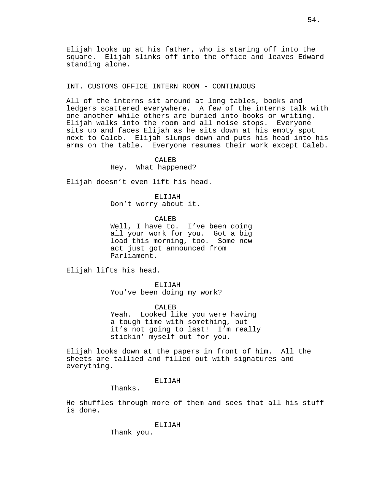Elijah looks up at his father, who is staring off into the square. Elijah slinks off into the office and leaves Edward standing alone.

INT. CUSTOMS OFFICE INTERN ROOM - CONTINUOUS

All of the interns sit around at long tables, books and ledgers scattered everywhere. A few of the interns talk with one another while others are buried into books or writing. Elijah walks into the room and all noise stops. Everyone sits up and faces Elijah as he sits down at his empty spot next to Caleb. Elijah slumps down and puts his head into his arms on the table. Everyone resumes their work except Caleb.

CALEB

Hey. What happened?

Elijah doesn't even lift his head.

ELIJAH Don't worry about it.

CALEB

Well, I have to. I've been doing all your work for you. Got a big load this morning, too. Some new act just got announced from Parliament.

Elijah lifts his head.

ELIJAH You've been doing my work?

CALEB Yeah. Looked like you were having a tough time with something, but it's not going to last! I'm really stickin' myself out for you.

Elijah looks down at the papers in front of him. All the sheets are tallied and filled out with signatures and everything.

# ELIJAH

Thanks.

He shuffles through more of them and sees that all his stuff is done.

ELIJAH

Thank you.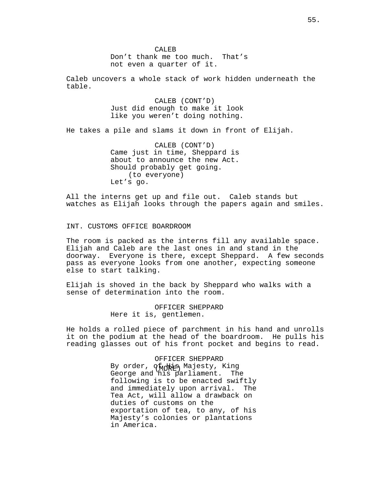CALE<sub>B</sub> Don't thank me too much. That's not even a quarter of it.

Caleb uncovers a whole stack of work hidden underneath the table.

> CALEB (CONT'D) Just did enough to make it look like you weren't doing nothing.

He takes a pile and slams it down in front of Elijah.

CALEB (CONT'D) Came just in time, Sheppard is about to announce the new Act. Should probably get going. (to everyone) Let's go.

All the interns get up and file out. Caleb stands but watches as Elijah looks through the papers again and smiles.

INT. CUSTOMS OFFICE BOARDROOM

The room is packed as the interns fill any available space. Elijah and Caleb are the last ones in and stand in the doorway. Everyone is there, except Sheppard. A few seconds pass as everyone looks from one another, expecting someone else to start talking.

Elijah is shoved in the back by Sheppard who walks with a sense of determination into the room.

> OFFICER SHEPPARD Here it is, gentlemen.

He holds a rolled piece of parchment in his hand and unrolls it on the podium at the head of the boardroom. He pulls his reading glasses out of his front pocket and begins to read.

> By order, qhdhis Majesty, King OFFICER SHEPPARD George and his parliament. The following is to be enacted swiftly and immediately upon arrival. The Tea Act, will allow a drawback on duties of customs on the exportation of tea, to any, of his Majesty's colonies or plantations in America.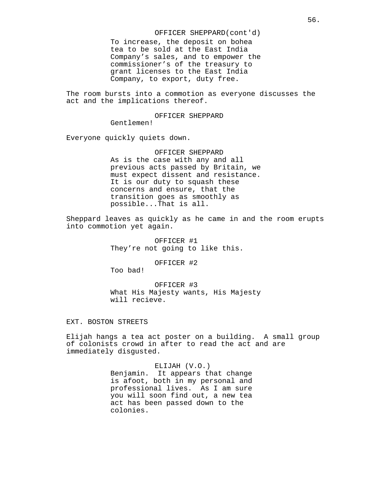OFFICER SHEPPARD(cont'd)

To increase, the deposit on bohea tea to be sold at the East India Company's sales, and to empower the commissioner's of the treasury to grant licenses to the East India Company, to export, duty free.

The room bursts into a commotion as everyone discusses the act and the implications thereof.

OFFICER SHEPPARD

Gentlemen!

Everyone quickly quiets down.

OFFICER SHEPPARD As is the case with any and all previous acts passed by Britain, we must expect dissent and resistance. It is our duty to squash these concerns and ensure, that the transition goes as smoothly as possible...That is all.

Sheppard leaves as quickly as he came in and the room erupts into commotion yet again.

> OFFICER #1 They're not going to like this.

> > OFFICER #2

Too bad!

OFFICER #3 What His Majesty wants, His Majesty will recieve.

EXT. BOSTON STREETS

Elijah hangs a tea act poster on a building. A small group of colonists crowd in after to read the act and are immediately disgusted.

### ELIJAH (V.O.)

Benjamin. It appears that change is afoot, both in my personal and professional lives. As I am sure you will soon find out, a new tea act has been passed down to the colonies.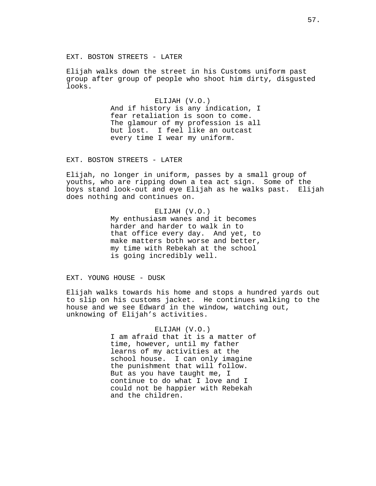### EXT. BOSTON STREETS - LATER

Elijah walks down the street in his Customs uniform past group after group of people who shoot him dirty, disgusted looks.

> ELIJAH (V.O.) And if history is any indication, I fear retaliation is soon to come. The glamour of my profession is all but lost. I feel like an outcast every time I wear my uniform.

EXT. BOSTON STREETS - LATER

Elijah, no longer in uniform, passes by a small group of youths, who are ripping down a tea act sign. Some of the boys stand look-out and eye Elijah as he walks past. Elijah does nothing and continues on.

> ELIJAH (V.O.) My enthusiasm wanes and it becomes harder and harder to walk in to that office every day. And yet, to make matters both worse and better, my time with Rebekah at the school is going incredibly well.

EXT. YOUNG HOUSE - DUSK

Elijah walks towards his home and stops a hundred yards out to slip on his customs jacket. He continues walking to the house and we see Edward in the window, watching out, unknowing of Elijah's activities.

> ELIJAH (V.O.) I am afraid that it is a matter of time, however, until my father learns of my activities at the school house. I can only imagine the punishment that will follow. But as you have taught me, I continue to do what I love and I could not be happier with Rebekah and the children.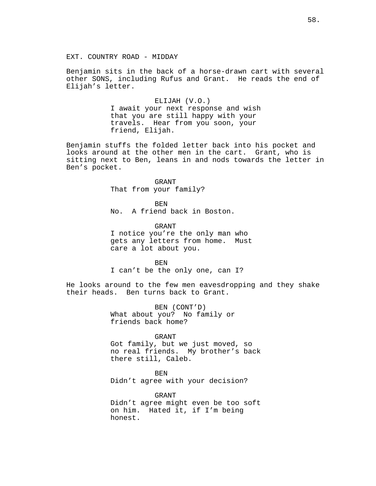Benjamin sits in the back of a horse-drawn cart with several other SONS, including Rufus and Grant. He reads the end of Elijah's letter.

> ELIJAH (V.O.) I await your next response and wish that you are still happy with your travels. Hear from you soon, your friend, Elijah.

Benjamin stuffs the folded letter back into his pocket and looks around at the other men in the cart. Grant, who is sitting next to Ben, leans in and nods towards the letter in Ben's pocket.

> GRANT That from your family?

BEN No. A friend back in Boston.

GRANT I notice you're the only man who gets any letters from home. Must care a lot about you.

BEN

I can't be the only one, can I?

He looks around to the few men eavesdropping and they shake their heads. Ben turns back to Grant.

> BEN (CONT'D) What about you? No family or friends back home?

> > GRANT

Got family, but we just moved, so no real friends. My brother's back there still, Caleb.

BEN

Didn't agree with your decision?

GRANT Didn't agree might even be too soft on him. Hated it, if I'm being honest.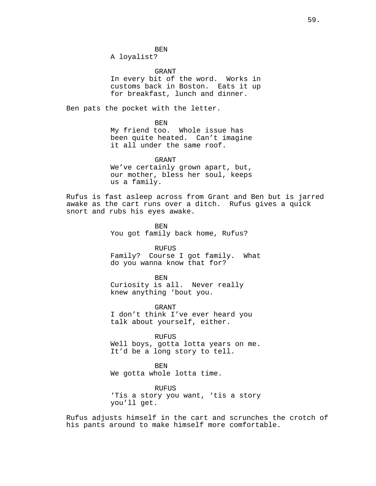BEN A loyalist?

GRANT In every bit of the word. Works in customs back in Boston. Eats it up for breakfast, lunch and dinner.

Ben pats the pocket with the letter.

BEN

My friend too. Whole issue has been quite heated. Can't imagine it all under the same roof.

GRANT We've certainly grown apart, but, our mother, bless her soul, keeps us a family.

Rufus is fast asleep across from Grant and Ben but is jarred awake as the cart runs over a ditch. Rufus gives a quick snort and rubs his eyes awake.

> BEN You got family back home, Rufus?

**RUFUS** Family? Course I got family. What

do you wanna know that for?

BEN

Curiosity is all. Never really knew anything 'bout you.

GRANT I don't think I've ever heard you talk about yourself, either.

RUFUS Well boys, gotta lotta years on me. It'd be a long story to tell.

BEN We gotta whole lotta time.

RUFUS 'Tis a story you want, 'tis a story you'll get.

Rufus adjusts himself in the cart and scrunches the crotch of his pants around to make himself more comfortable.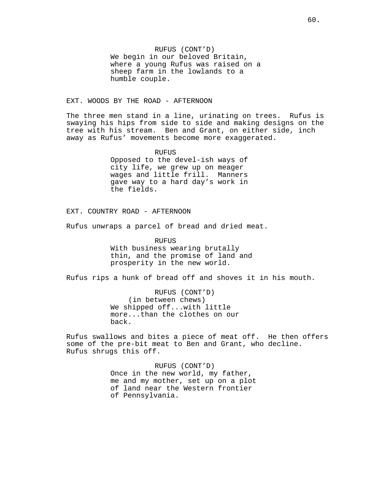RUFUS (CONT'D) We begin in our beloved Britain, where a young Rufus was raised on a sheep farm in the lowlands to a humble couple.

# EXT. WOODS BY THE ROAD - AFTERNOON

The three men stand in a line, urinating on trees. Rufus is swaying his hips from side to side and making designs on the tree with his stream. Ben and Grant, on either side, inch away as Rufus' movements become more exaggerated.

> RUFUS Opposed to the devel-ish ways of city life, we grew up on meager wages and little frill. Manners gave way to a hard day's work in the fields.

EXT. COUNTRY ROAD - AFTERNOON

Rufus unwraps a parcel of bread and dried meat.

RUFUS

With business wearing brutally thin, and the promise of land and prosperity in the new world.

Rufus rips a hunk of bread off and shoves it in his mouth.

RUFUS (CONT'D) (in between chews) We shipped off...with little more...than the clothes on our back.

Rufus swallows and bites a piece of meat off. He then offers some of the pre-bit meat to Ben and Grant, who decline. Rufus shrugs this off.

> RUFUS (CONT'D) Once in the new world, my father, me and my mother, set up on a plot of land near the Western frontier of Pennsylvania.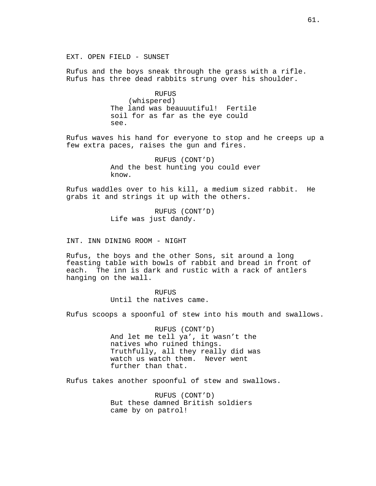EXT. OPEN FIELD - SUNSET

Rufus and the boys sneak through the grass with a rifle. Rufus has three dead rabbits strung over his shoulder.

> RUFUS (whispered) The land was beauuutiful! Fertile soil for as far as the eye could see.

Rufus waves his hand for everyone to stop and he creeps up a few extra paces, raises the gun and fires.

> RUFUS (CONT'D) And the best hunting you could ever know.

Rufus waddles over to his kill, a medium sized rabbit. He grabs it and strings it up with the others.

> RUFUS (CONT'D) Life was just dandy.

INT. INN DINING ROOM - NIGHT

Rufus, the boys and the other Sons, sit around a long feasting table with bowls of rabbit and bread in front of each. The inn is dark and rustic with a rack of antlers hanging on the wall.

> **RUFUS** Until the natives came.

Rufus scoops a spoonful of stew into his mouth and swallows.

RUFUS (CONT'D) And let me tell ya', it wasn't the natives who ruined things. Truthfully, all they really did was watch us watch them. Never went further than that.

Rufus takes another spoonful of stew and swallows.

RUFUS (CONT'D) But these damned British soldiers came by on patrol!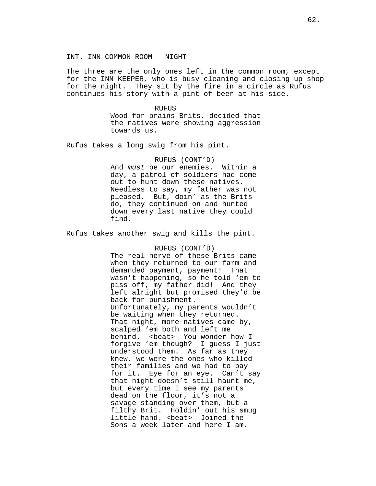The three are the only ones left in the common room, except for the INN KEEPER, who is busy cleaning and closing up shop for the night. They sit by the fire in a circle as Rufus continues his story with a pint of beer at his side.

> RUFUS Wood for brains Brits, decided that the natives were showing aggression towards us.

Rufus takes a long swig from his pint.

## RUFUS (CONT'D)

And must be our enemies. Within a day, a patrol of soldiers had come out to hunt down these natives. Needless to say, my father was not pleased. But, doin' as the Brits do, they continued on and hunted down every last native they could find.

Rufus takes another swig and kills the pint.

### RUFUS (CONT'D)

The real nerve of these Brits came when they returned to our farm and demanded payment, payment! That wasn't happening, so he told 'em to piss off, my father did! And they left alright but promised they'd be back for punishment. Unfortunately, my parents wouldn't be waiting when they returned. That night, more natives came by, scalped 'em both and left me behind. <br/>beat> You wonder how I forgive 'em though? I guess I just understood them. As far as they knew, we were the ones who killed their families and we had to pay for it. Eye for an eye. Can't say that night doesn't still haunt me, but every time I see my parents dead on the floor, it's not a savage standing over them, but a filthy Brit. Holdin' out his smug little hand. < beat> Joined the Sons a week later and here I am.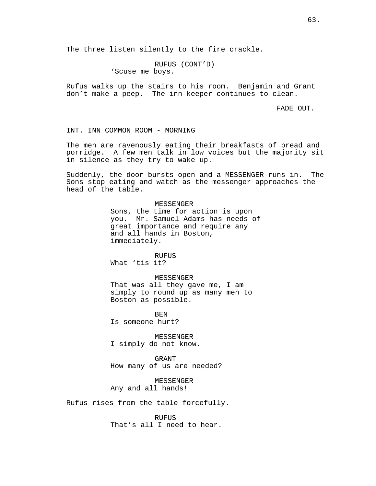The three listen silently to the fire crackle.

RUFUS (CONT'D) 'Scuse me boys.

Rufus walks up the stairs to his room. Benjamin and Grant don't make a peep. The inn keeper continues to clean.

FADE OUT.

INT. INN COMMON ROOM - MORNING

The men are ravenously eating their breakfasts of bread and porridge. A few men talk in low voices but the majority sit in silence as they try to wake up.

Suddenly, the door bursts open and a MESSENGER runs in. The Sons stop eating and watch as the messenger approaches the head of the table.

#### MESSENGER

Sons, the time for action is upon you. Mr. Samuel Adams has needs of great importance and require any and all hands in Boston, immediately.

RUFUS

What 'tis it?

### MESSENGER

That was all they gave me, I am simply to round up as many men to Boston as possible.

BEN Is someone hurt?

MESSENGER I simply do not know.

GRANT How many of us are needed?

MESSENGER Any and all hands!

Rufus rises from the table forcefully.

RUFUS That's all I need to hear.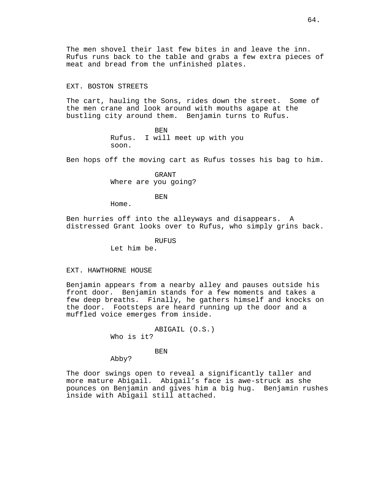The men shovel their last few bites in and leave the inn. Rufus runs back to the table and grabs a few extra pieces of meat and bread from the unfinished plates.

# EXT. BOSTON STREETS

The cart, hauling the Sons, rides down the street. Some of the men crane and look around with mouths agape at the bustling city around them. Benjamin turns to Rufus.

> BEN Rufus. I will meet up with you soon.

Ben hops off the moving cart as Rufus tosses his bag to him.

GRANT Where are you going?

BEN

Home.

Ben hurries off into the alleyways and disappears. A distressed Grant looks over to Rufus, who simply grins back.

RUFUS

Let him be.

## EXT. HAWTHORNE HOUSE

Benjamin appears from a nearby alley and pauses outside his front door. Benjamin stands for a few moments and takes a few deep breaths. Finally, he gathers himself and knocks on the door. Footsteps are heard running up the door and a muffled voice emerges from inside.

> ABIGAIL (O.S.) Who is it?

> > BEN

Abby?

The door swings open to reveal a significantly taller and more mature Abigail. Abigail's face is awe-struck as she pounces on Benjamin and gives him a big hug. Benjamin rushes inside with Abigail still attached.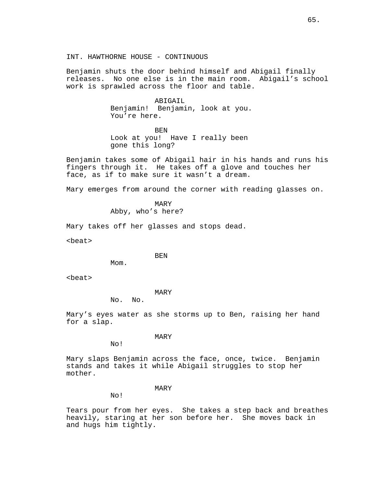Benjamin shuts the door behind himself and Abigail finally releases. No one else is in the main room. Abigail's school work is sprawled across the floor and table.

> ABIGAIL Benjamin! Benjamin, look at you. You're here.

> > BEN

Look at you! Have I really been gone this long?

Benjamin takes some of Abigail hair in his hands and runs his fingers through it. He takes off a glove and touches her face, as if to make sure it wasn't a dream.

Mary emerges from around the corner with reading glasses on.

MARY Abby, who's here?

Mary takes off her glasses and stops dead.

<beat>

BEN

M<sub>O</sub>m.

<beat>

MARY

No. No.

Mary's eyes water as she storms up to Ben, raising her hand for a slap.

MARY

No!

Mary slaps Benjamin across the face, once, twice. Benjamin stands and takes it while Abigail struggles to stop her mother.

# MARY

No!

Tears pour from her eyes. She takes a step back and breathes heavily, staring at her son before her. She moves back in and hugs him tightly.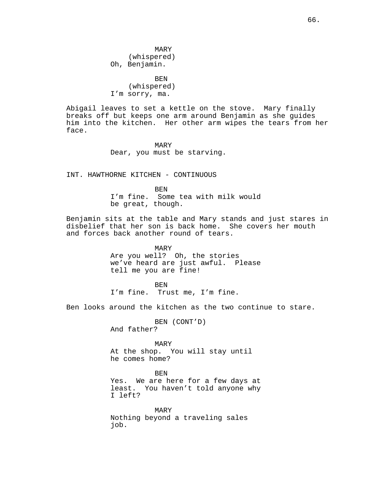MARY (whispered) Oh, Benjamin.

BEN (whispered) I'm sorry, ma.

Abigail leaves to set a kettle on the stove. Mary finally breaks off but keeps one arm around Benjamin as she guides him into the kitchen. Her other arm wipes the tears from her face.

> MARY Dear, you must be starving.

INT. HAWTHORNE KITCHEN - CONTINUOUS

BEN I'm fine. Some tea with milk would be great, though.

Benjamin sits at the table and Mary stands and just stares in disbelief that her son is back home. She covers her mouth and forces back another round of tears.

#### MARY

Are you well? Oh, the stories we've heard are just awful. Please tell me you are fine!

**BEN** I'm fine. Trust me, I'm fine.

Ben looks around the kitchen as the two continue to stare.

BEN (CONT'D)

And father?

MARY At the shop. You will stay until he comes home?

**BEN** 

Yes. We are here for a few days at least. You haven't told anyone why I left?

MARY Nothing beyond a traveling sales job.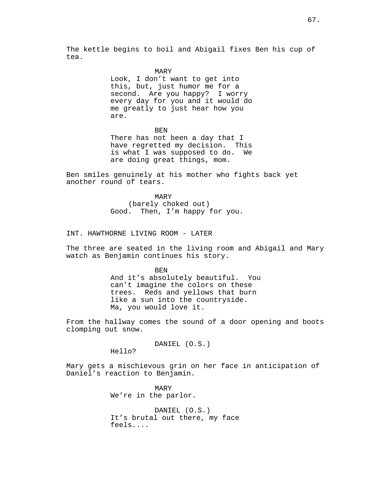The kettle begins to boil and Abigail fixes Ben his cup of tea.

#### MARY

Look, I don't want to get into this, but, just humor me for a second. Are you happy? I worry every day for you and it would do me greatly to just hear how you are.

BEN

There has not been a day that I have regretted my decision. This is what I was supposed to do. We are doing great things, mom.

Ben smiles genuinely at his mother who fights back yet another round of tears.

> MARY (barely choked out) Good. Then, I'm happy for you.

INT. HAWTHORNE LIVING ROOM - LATER

The three are seated in the living room and Abigail and Mary watch as Benjamin continues his story.

> BEN And it's absolutely beautiful. You can't imagine the colors on these trees. Reds and yellows that burn like a sun into the countryside. Ma, you would love it.

From the hallway comes the sound of a door opening and boots clomping out snow.

DANIEL (O.S.)

Hello?

Mary gets a mischievous grin on her face in anticipation of Daniel's reaction to Benjamin.

> MARY We're in the parlor.

DANIEL (O.S.) It's brutal out there, my face feels....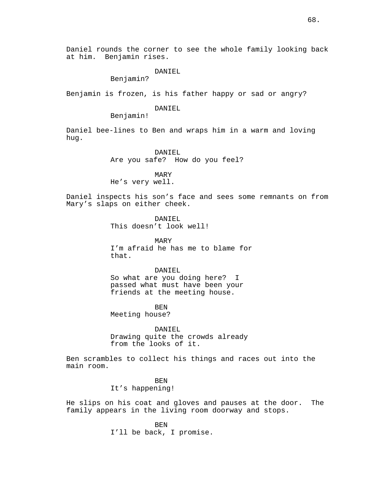# DANIEL

Benjamin?

Benjamin is frozen, is his father happy or sad or angry?

### DANIEL

Benjamin!

Daniel bee-lines to Ben and wraps him in a warm and loving hug.

> DANIEL Are you safe? How do you feel?

MARY He's very well.

Daniel inspects his son's face and sees some remnants on from Mary's slaps on either cheek.

> DANIEL This doesn't look well!

MARY I'm afraid he has me to blame for that.

### DANIEL

So what are you doing here? I passed what must have been your friends at the meeting house.

BEN

Meeting house?

DANTEL. Drawing quite the crowds already from the looks of it.

Ben scrambles to collect his things and races out into the main room.

> BEN It's happening!

He slips on his coat and gloves and pauses at the door. The family appears in the living room doorway and stops.

> **BEN** I'll be back, I promise.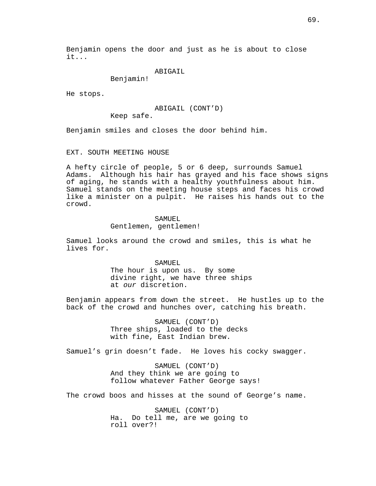Benjamin opens the door and just as he is about to close it...

ABIGAIL

Benjamin!

He stops.

ABIGAIL (CONT'D)

Keep safe.

Benjamin smiles and closes the door behind him.

# EXT. SOUTH MEETING HOUSE

A hefty circle of people, 5 or 6 deep, surrounds Samuel Adams. Although his hair has grayed and his face shows signs of aging, he stands with a healthy youthfulness about him. Samuel stands on the meeting house steps and faces his crowd like a minister on a pulpit. He raises his hands out to the crowd.

#### SAMUEL

Gentlemen, gentlemen!

Samuel looks around the crowd and smiles, this is what he lives for.

### SAMUEL

The hour is upon us. By some divine right, we have three ships at our discretion.

Benjamin appears from down the street. He hustles up to the back of the crowd and hunches over, catching his breath.

> SAMUEL (CONT'D) Three ships, loaded to the decks with fine, East Indian brew.

Samuel's grin doesn't fade. He loves his cocky swagger.

SAMUEL (CONT'D) And they think we are going to follow whatever Father George says!

The crowd boos and hisses at the sound of George's name.

SAMUEL (CONT'D) Ha. Do tell me, are we going to roll over?!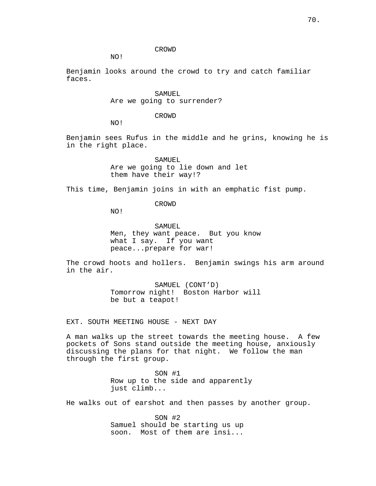### CROWD

NO!

Benjamin looks around the crowd to try and catch familiar faces.

> SAMUEL Are we going to surrender?

> > CROWD

NO!

Benjamin sees Rufus in the middle and he grins, knowing he is in the right place.

> SAMUEL Are we going to lie down and let them have their way!?

This time, Benjamin joins in with an emphatic fist pump.

CROWD

NO!

SAMUEL Men, they want peace. But you know what I say. If you want peace...prepare for war!

The crowd hoots and hollers. Benjamin swings his arm around in the air.

> SAMUEL (CONT'D) Tomorrow night! Boston Harbor will be but a teapot!

EXT. SOUTH MEETING HOUSE - NEXT DAY

A man walks up the street towards the meeting house. A few pockets of Sons stand outside the meeting house, anxiously discussing the plans for that night. We follow the man through the first group.

> SON #1 Row up to the side and apparently just climb...

He walks out of earshot and then passes by another group.

SON #2 Samuel should be starting us up soon. Most of them are insi...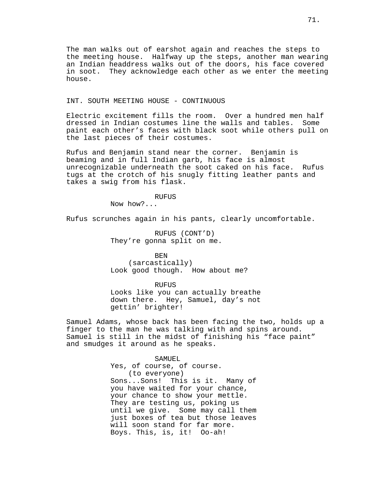The man walks out of earshot again and reaches the steps to the meeting house. Halfway up the steps, another man wearing an Indian headdress walks out of the doors, his face covered in soot. They acknowledge each other as we enter the meeting house.

# INT. SOUTH MEETING HOUSE - CONTINUOUS

Electric excitement fills the room. Over a hundred men half dressed in Indian costumes line the walls and tables. Some paint each other's faces with black soot while others pull on the last pieces of their costumes.

Rufus and Benjamin stand near the corner. Benjamin is beaming and in full Indian garb, his face is almost unrecognizable underneath the soot caked on his face. Rufus tugs at the crotch of his snugly fitting leather pants and takes a swig from his flask.

RUFUS

Now how?...

Rufus scrunches again in his pants, clearly uncomfortable.

RUFUS (CONT'D) They're gonna split on me.

BEN (sarcastically) Look good though. How about me?

RUFUS

Looks like you can actually breathe down there. Hey, Samuel, day's not gettin' brighter!

Samuel Adams, whose back has been facing the two, holds up a finger to the man he was talking with and spins around. Samuel is still in the midst of finishing his "face paint" and smudges it around as he speaks.

SAMUEL

Yes, of course, of course. (to everyone) Sons...Sons! This is it. Many of you have waited for your chance, your chance to show your mettle. They are testing us, poking us until we give. Some may call them just boxes of tea but those leaves will soon stand for far more. Boys. This, is, it! Oo-ah!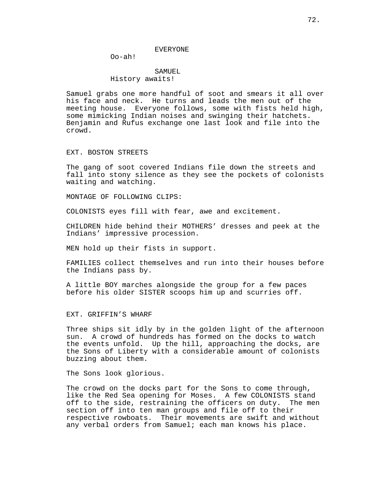#### EVERYONE

Oo-ah!

# SAMUEL History awaits!

Samuel grabs one more handful of soot and smears it all over his face and neck. He turns and leads the men out of the meeting house. Everyone follows, some with fists held high, some mimicking Indian noises and swinging their hatchets. Benjamin and Rufus exchange one last look and file into the crowd.

## EXT. BOSTON STREETS

The gang of soot covered Indians file down the streets and fall into stony silence as they see the pockets of colonists waiting and watching.

MONTAGE OF FOLLOWING CLIPS:

COLONISTS eyes fill with fear, awe and excitement.

CHILDREN hide behind their MOTHERS' dresses and peek at the Indians' impressive procession.

MEN hold up their fists in support.

FAMILIES collect themselves and run into their houses before the Indians pass by.

A little BOY marches alongside the group for a few paces before his older SISTER scoops him up and scurries off.

EXT. GRIFFIN'S WHARF

Three ships sit idly by in the golden light of the afternoon sun. A crowd of hundreds has formed on the docks to watch the events unfold. Up the hill, approaching the docks, are the Sons of Liberty with a considerable amount of colonists buzzing about them.

The Sons look glorious.

The crowd on the docks part for the Sons to come through, like the Red Sea opening for Moses. A few COLONISTS stand off to the side, restraining the officers on duty. The men section off into ten man groups and file off to their respective rowboats. Their movements are swift and without any verbal orders from Samuel; each man knows his place.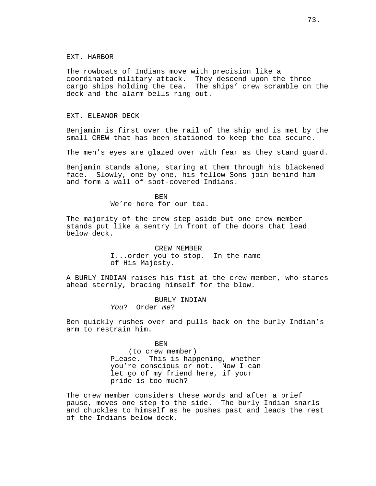## EXT. HARBOR

The rowboats of Indians move with precision like a coordinated military attack. They descend upon the three cargo ships holding the tea. The ships' crew scramble on the deck and the alarm bells ring out.

## EXT. ELEANOR DECK

Benjamin is first over the rail of the ship and is met by the small CREW that has been stationed to keep the tea secure.

The men's eyes are glazed over with fear as they stand guard.

Benjamin stands alone, staring at them through his blackened face. Slowly, one by one, his fellow Sons join behind him and form a wall of soot-covered Indians.

> BEN We're here for our tea.

The majority of the crew step aside but one crew-member stands put like a sentry in front of the doors that lead below deck.

> CREW MEMBER I...order you to stop. In the name of His Majesty.

A BURLY INDIAN raises his fist at the crew member, who stares ahead sternly, bracing himself for the blow.

> BURLY INDIAN You? Order me?

Ben quickly rushes over and pulls back on the burly Indian's arm to restrain him.

> BEN (to crew member) Please. This is happening, whether you're conscious or not. Now I can let go of my friend here, if your pride is too much?

The crew member considers these words and after a brief pause, moves one step to the side. The burly Indian snarls and chuckles to himself as he pushes past and leads the rest of the Indians below deck.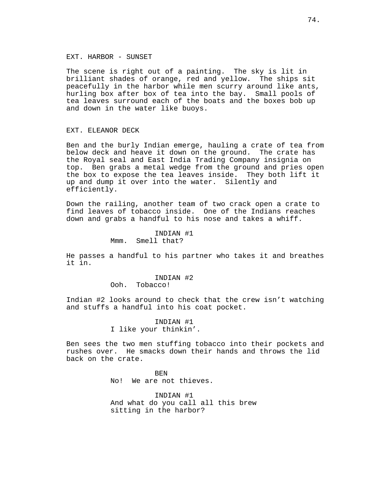## EXT. HARBOR - SUNSET

The scene is right out of a painting. The sky is lit in brilliant shades of orange, red and yellow. The ships sit peacefully in the harbor while men scurry around like ants, hurling box after box of tea into the bay. Small pools of tea leaves surround each of the boats and the boxes bob up and down in the water like buoys.

#### EXT. ELEANOR DECK

Ben and the burly Indian emerge, hauling a crate of tea from below deck and heave it down on the ground. The crate has the Royal seal and East India Trading Company insignia on top. Ben grabs a metal wedge from the ground and pries open the box to expose the tea leaves inside. They both lift it up and dump it over into the water. Silently and efficiently.

Down the railing, another team of two crack open a crate to find leaves of tobacco inside. One of the Indians reaches down and grabs a handful to his nose and takes a whiff.

> INDIAN #1 Mmm. Smell that?

He passes a handful to his partner who takes it and breathes it in.

> INDIAN #2 Ooh. Tobacco!

Indian #2 looks around to check that the crew isn't watching and stuffs a handful into his coat pocket.

> INDIAN #1 I like your thinkin'.

Ben sees the two men stuffing tobacco into their pockets and rushes over. He smacks down their hands and throws the lid back on the crate.

> **BEN** No! We are not thieves.

INDIAN #1 And what do you call all this brew sitting in the harbor?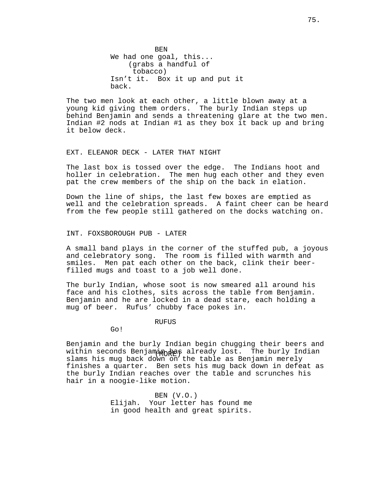**BEN** We had one goal, this... (grabs a handful of tobacco) Isn't it. Box it up and put it back.

The two men look at each other, a little blown away at a young kid giving them orders. The burly Indian steps up behind Benjamin and sends a threatening glare at the two men. Indian #2 nods at Indian #1 as they box it back up and bring it below deck.

## EXT. ELEANOR DECK - LATER THAT NIGHT

The last box is tossed over the edge. The Indians hoot and holler in celebration. The men hug each other and they even pat the crew members of the ship on the back in elation.

Down the line of ships, the last few boxes are emptied as well and the celebration spreads. A faint cheer can be heard from the few people still gathered on the docks watching on.

INT. FOXSBOROUGH PUB - LATER

A small band plays in the corner of the stuffed pub, a joyous and celebratory song. The room is filled with warmth and smiles. Men pat each other on the back, clink their beerfilled mugs and toast to a job well done.

The burly Indian, whose soot is now smeared all around his face and his clothes, sits across the table from Benjamin. Benjamin and he are locked in a dead stare, each holding a mug of beer. Rufus' chubby face pokes in.

RUFUS

Go!

within seconds Benjamin has already lost. The burly Indian Benjamin and the burly Indian begin chugging their beers and slams his mug back down on the table as Benjamin merely finishes a quarter. Ben sets his mug back down in defeat as the burly Indian reaches over the table and scrunches his hair in a noogie-like motion.

> BEN (V.O.) Elijah. Your letter has found me in good health and great spirits.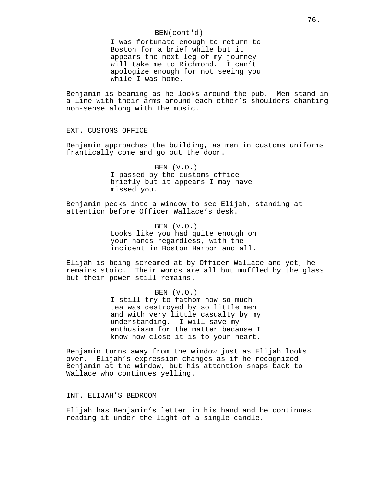## BEN(cont'd)

I was fortunate enough to return to Boston for a brief while but it appears the next leg of my journey will take me to Richmond. I can't apologize enough for not seeing you while I was home.

Benjamin is beaming as he looks around the pub. Men stand in a line with their arms around each other's shoulders chanting non-sense along with the music.

EXT. CUSTOMS OFFICE

Benjamin approaches the building, as men in customs uniforms frantically come and go out the door.

> BEN (V.O.) I passed by the customs office briefly but it appears I may have missed you.

Benjamin peeks into a window to see Elijah, standing at attention before Officer Wallace's desk.

> BEN (V.O.) Looks like you had quite enough on your hands regardless, with the incident in Boston Harbor and all.

Elijah is being screamed at by Officer Wallace and yet, he remains stoic. Their words are all but muffled by the glass but their power still remains.

> BEN (V.O.) I still try to fathom how so much tea was destroyed by so little men and with very little casualty by my understanding. I will save my enthusiasm for the matter because I know how close it is to your heart.

Benjamin turns away from the window just as Elijah looks over. Elijah's expression changes as if he recognized Benjamin at the window, but his attention snaps back to Wallace who continues yelling.

INT. ELIJAH'S BEDROOM

Elijah has Benjamin's letter in his hand and he continues reading it under the light of a single candle.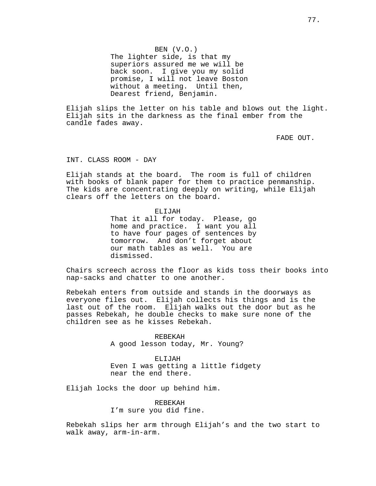BEN (V.O.) The lighter side, is that my superiors assured me we will be back soon. I give you my solid promise, I will not leave Boston without a meeting. Until then, Dearest friend, Benjamin.

Elijah slips the letter on his table and blows out the light. Elijah sits in the darkness as the final ember from the candle fades away.

FADE OUT.

INT. CLASS ROOM - DAY

Elijah stands at the board. The room is full of children with books of blank paper for them to practice penmanship. The kids are concentrating deeply on writing, while Elijah clears off the letters on the board.

ELIJAH

That it all for today. Please, go home and practice. I want you all to have four pages of sentences by tomorrow. And don't forget about our math tables as well. You are dismissed.

Chairs screech across the floor as kids toss their books into nap-sacks and chatter to one another.

Rebekah enters from outside and stands in the doorways as everyone files out. Elijah collects his things and is the last out of the room. Elijah walks out the door but as he passes Rebekah, he double checks to make sure none of the children see as he kisses Rebekah.

> REBEKAH A good lesson today, Mr. Young?

ELIJAH Even I was getting a little fidgety near the end there.

Elijah locks the door up behind him.

REBEKAH I'm sure you did fine.

Rebekah slips her arm through Elijah's and the two start to walk away, arm-in-arm.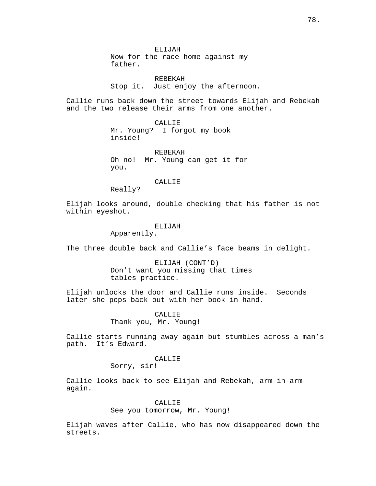ELIJAH Now for the race home against my father.

REBEKAH Stop it. Just enjoy the afternoon.

Callie runs back down the street towards Elijah and Rebekah and the two release their arms from one another.

> CALLIE Mr. Young? I forgot my book inside!

REBEKAH Oh no! Mr. Young can get it for you.

CALLIE

Really?

Elijah looks around, double checking that his father is not within eyeshot.

# ELIJAH

Apparently.

The three double back and Callie's face beams in delight.

ELIJAH (CONT'D) Don't want you missing that times tables practice.

Elijah unlocks the door and Callie runs inside. Seconds later she pops back out with her book in hand.

> CALLIE Thank you, Mr. Young!

Callie starts running away again but stumbles across a man's path. It's Edward.

# CALLIE

Sorry, sir!

Callie looks back to see Elijah and Rebekah, arm-in-arm again.

#### CALLIE

See you tomorrow, Mr. Young!

Elijah waves after Callie, who has now disappeared down the streets.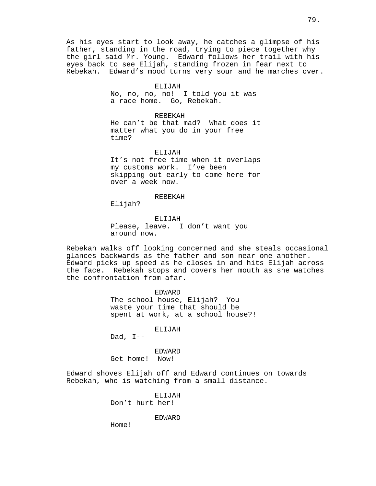As his eyes start to look away, he catches a glimpse of his father, standing in the road, trying to piece together why the girl said Mr. Young. Edward follows her trail with his eyes back to see Elijah, standing frozen in fear next to Rebekah. Edward's mood turns very sour and he marches over.

#### ELIJAH

No, no, no, no! I told you it was a race home. Go, Rebekah.

## REBEKAH

He can't be that mad? What does it matter what you do in your free time?

#### ELIJAH

It's not free time when it overlaps my customs work. I've been skipping out early to come here for over a week now.

# REBEKAH

Elijah?

# ELIJAH Please, leave. I don't want you around now.

Rebekah walks off looking concerned and she steals occasional glances backwards as the father and son near one another. Edward picks up speed as he closes in and hits Elijah across the face. Rebekah stops and covers her mouth as she watches the confrontation from afar.

## EDWARD

The school house, Elijah? You waste your time that should be spent at work, at a school house?!

ELIJAH

Dad,  $I--$ 

EDWARD Get home! Now!

Edward shoves Elijah off and Edward continues on towards Rebekah, who is watching from a small distance.

> ELIJAH Don't hurt her!

> > EDWARD

Home!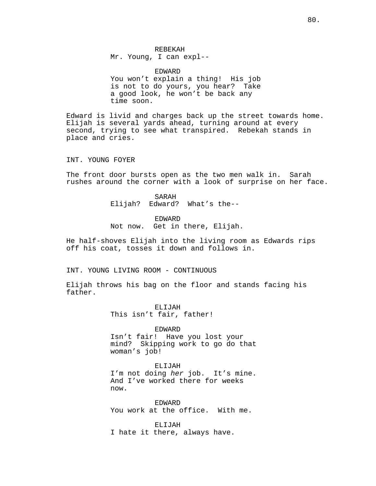REBEKAH Mr. Young, I can expl--

EDWARD You won't explain a thing! His job is not to do yours, you hear? Take a good look, he won't be back any time soon.

Edward is livid and charges back up the street towards home. Elijah is several yards ahead, turning around at every second, trying to see what transpired. Rebekah stands in place and cries.

INT. YOUNG FOYER

The front door bursts open as the two men walk in. Sarah rushes around the corner with a look of surprise on her face.

> SARAH Elijah? Edward? What's the--

EDWARD Not now. Get in there, Elijah.

He half-shoves Elijah into the living room as Edwards rips off his coat, tosses it down and follows in.

INT. YOUNG LIVING ROOM - CONTINUOUS

Elijah throws his bag on the floor and stands facing his father.

> ELIJAH This isn't fair, father!

EDWARD Isn't fair! Have you lost your mind? Skipping work to go do that woman's job!

ELIJAH I'm not doing her job. It's mine. And I've worked there for weeks now.

EDWARD You work at the office. With me.

ELIJAH I hate it there, always have.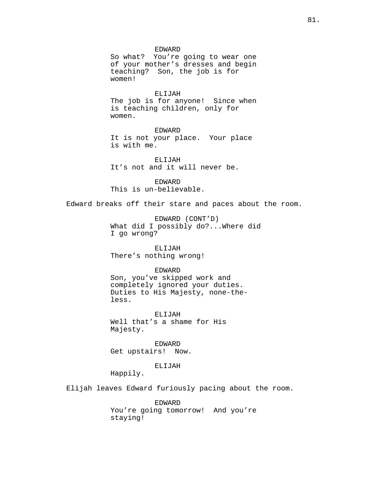EDWARD

So what? You're going to wear one of your mother's dresses and begin teaching? Son, the job is for women!

ELIJAH The job is for anyone! Since when is teaching children, only for women.

EDWARD It is not your place. Your place is with me.

ELIJAH It's not and it will never be.

EDWARD This is un-believable.

Edward breaks off their stare and paces about the room.

EDWARD (CONT'D) What did I possibly do?...Where did I go wrong?

# ELIJAH

There's nothing wrong!

# EDWARD

Son, you've skipped work and completely ignored your duties. Duties to His Majesty, none-theless.

ELIJAH Well that's a shame for His Majesty.

EDWARD Get upstairs! Now.

# ELIJAH

Happily.

Elijah leaves Edward furiously pacing about the room.

EDWARD You're going tomorrow! And you're staying!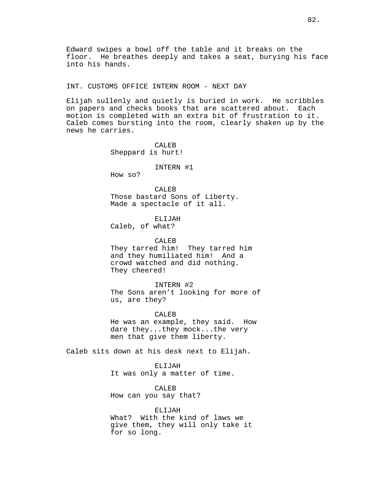Edward swipes a bowl off the table and it breaks on the floor. He breathes deeply and takes a seat, burying his face into his hands.

INT. CUSTOMS OFFICE INTERN ROOM - NEXT DAY

Elijah sullenly and quietly is buried in work. He scribbles on papers and checks books that are scattered about. Each motion is completed with an extra bit of frustration to it. Caleb comes bursting into the room, clearly shaken up by the news he carries.

> CALEB Sheppard is hurt!

## INTERN #1

How so?

CALEB Those bastard Sons of Liberty. Made a spectacle of it all.

ELIJAH Caleb, of what?

CALEB They tarred him! They tarred him and they humiliated him! And a crowd watched and did nothing. They cheered!

INTERN #2 The Sons aren't looking for more of us, are they?

CALEB He was an example, they said. How dare they...they mock...the very men that give them liberty.

Caleb sits down at his desk next to Elijah.

ELIJAH It was only a matter of time.

CALEB How can you say that?

ELIJAH What? With the kind of laws we give them, they will only take it for so long.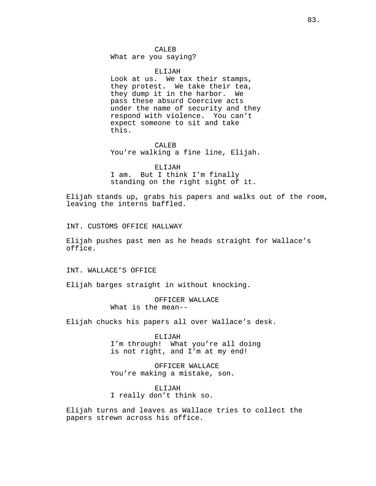# CALEB

What are you saying?

ELIJAH

Look at us. We tax their stamps, they protest. We take their tea, they dump it in the harbor. We pass these absurd Coercive acts under the name of security and they respond with violence. You can't expect someone to sit and take this.

CALEB You're walking a fine line, Elijah.

#### ELIJAH

I am. But I think I'm finally standing on the right sight of it.

Elijah stands up, grabs his papers and walks out of the room, leaving the interns baffled.

INT. CUSTOMS OFFICE HALLWAY

Elijah pushes past men as he heads straight for Wallace's office.

INT. WALLACE'S OFFICE

Elijah barges straight in without knocking.

OFFICER WALLACE What is the mean--

Elijah chucks his papers all over Wallace's desk.

ELIJAH I'm through! What you're all doing is not right, and I'm at my end!

OFFICER WALLACE You're making a mistake, son.

ELIJAH I really don't think so.

Elijah turns and leaves as Wallace tries to collect the papers strewn across his office.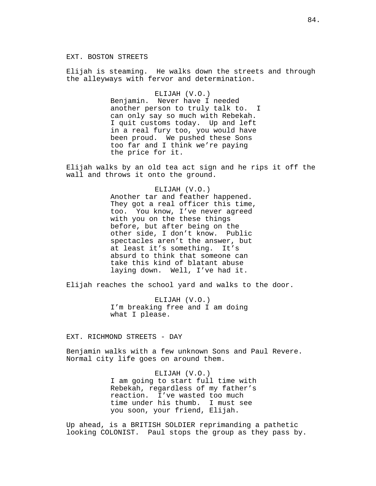# EXT. BOSTON STREETS

Elijah is steaming. He walks down the streets and through the alleyways with fervor and determination.

#### ELIJAH (V.O.)

Benjamin. Never have I needed another person to truly talk to. I can only say so much with Rebekah. I quit customs today. Up and left in a real fury too, you would have been proud. We pushed these Sons too far and I think we're paying the price for it.

Elijah walks by an old tea act sign and he rips it off the wall and throws it onto the ground.

#### ELIJAH (V.O.)

Another tar and feather happened. They got a real officer this time, too. You know, I've never agreed with you on the these things before, but after being on the other side, I don't know. Public spectacles aren't the answer, but at least it's something. It's absurd to think that someone can take this kind of blatant abuse laying down. Well, I've had it.

Elijah reaches the school yard and walks to the door.

ELIJAH (V.O.) I'm breaking free and I am doing what I please.

EXT. RICHMOND STREETS - DAY

Benjamin walks with a few unknown Sons and Paul Revere. Normal city life goes on around them.

> ELIJAH (V.O.) I am going to start full time with Rebekah, regardless of my father's reaction. I've wasted too much time under his thumb. I must see you soon, your friend, Elijah.

Up ahead, is a BRITISH SOLDIER reprimanding a pathetic looking COLONIST. Paul stops the group as they pass by.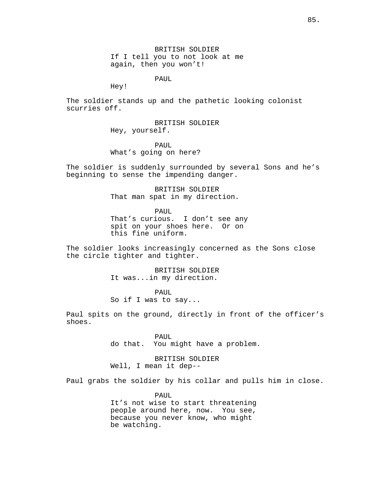BRITISH SOLDIER If I tell you to not look at me again, then you won't!

PAUL

Hey!

The soldier stands up and the pathetic looking colonist scurries off.

> BRITISH SOLDIER Hey, yourself.

> > PAUL

What's going on here?

The soldier is suddenly surrounded by several Sons and he's beginning to sense the impending danger.

> BRITISH SOLDIER That man spat in my direction.

> > PAUL

That's curious. I don't see any spit on your shoes here. Or on this fine uniform.

The soldier looks increasingly concerned as the Sons close the circle tighter and tighter.

> BRITISH SOLDIER It was...in my direction.

PAUL So if I was to say...

Paul spits on the ground, directly in front of the officer's shoes.

> PAUL do that. You might have a problem.

BRITISH SOLDIER Well, I mean it dep--

Paul grabs the soldier by his collar and pulls him in close.

PAUL It's not wise to start threatening people around here, now. You see, because you never know, who might be watching.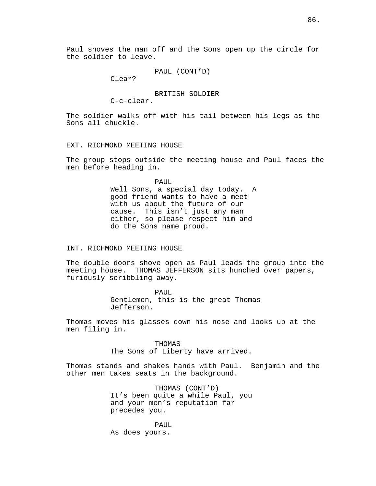Paul shoves the man off and the Sons open up the circle for the soldier to leave.

PAUL (CONT'D)

Clear?

BRITISH SOLDIER

C-c-clear.

The soldier walks off with his tail between his legs as the Sons all chuckle.

EXT. RICHMOND MEETING HOUSE

The group stops outside the meeting house and Paul faces the men before heading in.

> PAUL Well Sons, a special day today. A good friend wants to have a meet with us about the future of our cause. This isn't just any man either, so please respect him and do the Sons name proud.

## INT. RICHMOND MEETING HOUSE

The double doors shove open as Paul leads the group into the meeting house. THOMAS JEFFERSON sits hunched over papers, furiously scribbling away.

> PAUL Gentlemen, this is the great Thomas Jefferson.

Thomas moves his glasses down his nose and looks up at the men filing in.

> THOMAS The Sons of Liberty have arrived.

Thomas stands and shakes hands with Paul. Benjamin and the other men takes seats in the background.

> THOMAS (CONT'D) It's been quite a while Paul, you and your men's reputation far precedes you.

PAUL As does yours.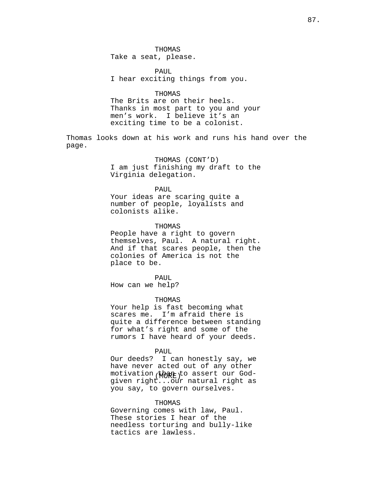THOMAS Take a seat, please.

PAUL I hear exciting things from you.

#### THOMAS

The Brits are on their heels. Thanks in most part to you and your men's work. I believe it's an exciting time to be a colonist.

Thomas looks down at his work and runs his hand over the page.

# THOMAS (CONT'D)

I am just finishing my draft to the Virginia delegation.

#### PAUL

Your ideas are scaring quite a number of people, loyalists and colonists alike.

# THOMAS

People have a right to govern themselves, Paul. A natural right. And if that scares people, then the colonies of America is not the place to be.

# PAUL

How can we help?

## THOMAS

Your help is fast becoming what scares me. I'm afraid there is quite a difference between standing for what's right and some of the rumors I have heard of your deeds.

#### PAUL

motivation (want to assert our God-Our deeds? I can honestly say, we have never acted out of any other given right...our natural right as you say, to govern ourselves.

#### THOMAS

Governing comes with law, Paul. These stories I hear of the needless torturing and bully-like tactics are lawless.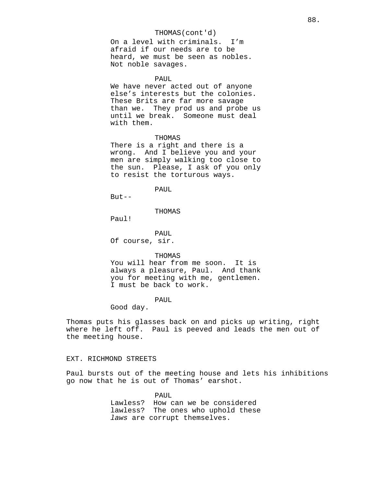# THOMAS(cont'd)

On a level with criminals. I'm afraid if our needs are to be heard, we must be seen as nobles. Not noble savages.

#### PAUL

We have never acted out of anyone else's interests but the colonies. These Brits are far more savage than we. They prod us and probe us until we break. Someone must deal with them.

#### THOMAS

There is a right and there is a wrong. And I believe you and your men are simply walking too close to the sun. Please, I ask of you only to resist the torturous ways.

PAUL

 $But --$ 

#### THOMAS

Paul!

PAUL Of course, sir.

#### THOMAS

You will hear from me soon. It is always a pleasure, Paul. And thank you for meeting with me, gentlemen. I must be back to work.

# PAUL

Good day.

Thomas puts his glasses back on and picks up writing, right where he left off. Paul is peeved and leads the men out of the meeting house.

# EXT. RICHMOND STREETS

Paul bursts out of the meeting house and lets his inhibitions go now that he is out of Thomas' earshot.

> PAUL Lawless? How can we be considered lawless? The ones who uphold these laws are corrupt themselves.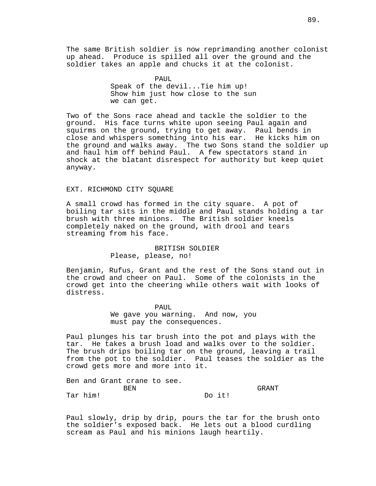The same British soldier is now reprimanding another colonist up ahead. Produce is spilled all over the ground and the soldier takes an apple and chucks it at the colonist.

> PAUL Speak of the devil...Tie him up! Show him just how close to the sun we can get.

Two of the Sons race ahead and tackle the soldier to the ground. His face turns white upon seeing Paul again and squirms on the ground, trying to get away. Paul bends in close and whispers something into his ear. He kicks him on the ground and walks away. The two Sons stand the soldier up and haul him off behind Paul. A few spectators stand in shock at the blatant disrespect for authority but keep quiet anyway.

# EXT. RICHMOND CITY SOUARE

A small crowd has formed in the city square. A pot of boiling tar sits in the middle and Paul stands holding a tar brush with three minions. The British soldier kneels completely naked on the ground, with drool and tears streaming from his face.

# BRITISH SOLDIER Please, please, no!

Benjamin, Rufus, Grant and the rest of the Sons stand out in the crowd and cheer on Paul. Some of the colonists in the crowd get into the cheering while others wait with looks of distress.

> PAUL We gave you warning. And now, you must pay the consequences.

Paul plunges his tar brush into the pot and plays with the tar. He takes a brush load and walks over to the soldier. The brush drips boiling tar on the ground, leaving a trail from the pot to the soldier. Paul teases the soldier as the crowd gets more and more into it.

|            |  | Ben and Grant crane to see. |  |  |  |        |       |
|------------|--|-----------------------------|--|--|--|--------|-------|
| <b>BEN</b> |  |                             |  |  |  |        | GRANT |
| Tar him!   |  |                             |  |  |  | Do it! |       |

Paul slowly, drip by drip, pours the tar for the brush onto the soldier's exposed back. He lets out a blood curdling scream as Paul and his minions laugh heartily.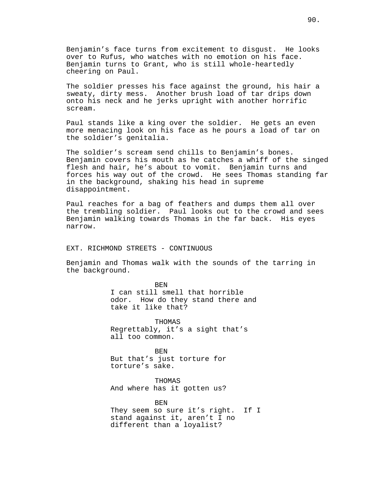Benjamin's face turns from excitement to disgust. He looks over to Rufus, who watches with no emotion on his face. Benjamin turns to Grant, who is still whole-heartedly cheering on Paul.

The soldier presses his face against the ground, his hair a sweaty, dirty mess. Another brush load of tar drips down onto his neck and he jerks upright with another horrific scream.

Paul stands like a king over the soldier. He gets an even more menacing look on his face as he pours a load of tar on the soldier's genitalia.

The soldier's scream send chills to Benjamin's bones. Benjamin covers his mouth as he catches a whiff of the singed flesh and hair, he's about to vomit. Benjamin turns and forces his way out of the crowd. He sees Thomas standing far in the background, shaking his head in supreme disappointment.

Paul reaches for a bag of feathers and dumps them all over the trembling soldier. Paul looks out to the crowd and sees Benjamin walking towards Thomas in the far back. His eyes narrow.

EXT. RICHMOND STREETS - CONTINUOUS

Benjamin and Thomas walk with the sounds of the tarring in the background.

> BEN I can still smell that horrible odor. How do they stand there and take it like that?

THOMAS Regrettably, it's a sight that's all too common.

BEN But that's just torture for torture's sake.

THOMAS And where has it gotten us?

different than a loyalist?

BEN They seem so sure it's right. If I stand against it, aren't I no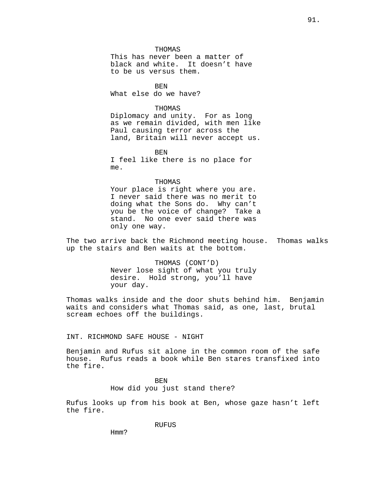THOMAS

This has never been a matter of black and white. It doesn't have to be us versus them.

**BEN** What else do we have?

# THOMAS

Diplomacy and unity. For as long as we remain divided, with men like Paul causing terror across the land, Britain will never accept us.

BEN

I feel like there is no place for me.

#### THOMAS

Your place is right where you are. I never said there was no merit to doing what the Sons do. Why can't you be the voice of change? Take a stand. No one ever said there was only one way.

The two arrive back the Richmond meeting house. Thomas walks up the stairs and Ben waits at the bottom.

> THOMAS (CONT'D) Never lose sight of what you truly desire. Hold strong, you'll have your day.

Thomas walks inside and the door shuts behind him. Benjamin waits and considers what Thomas said, as one, last, brutal scream echoes off the buildings.

INT. RICHMOND SAFE HOUSE - NIGHT

Benjamin and Rufus sit alone in the common room of the safe house. Rufus reads a book while Ben stares transfixed into the fire.

> BEN How did you just stand there?

Rufus looks up from his book at Ben, whose gaze hasn't left the fire.

RUFUS

Hmm?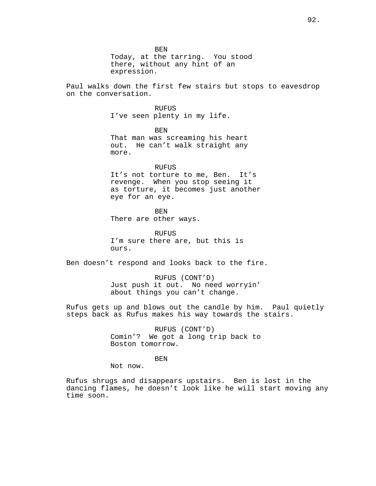BEN

Today, at the tarring. You stood there, without any hint of an expression.

Paul walks down the first few stairs but stops to eavesdrop on the conversation.

> RUFUS I've seen plenty in my life.

BEN That man was screaming his heart out. He can't walk straight any more.

#### **RUFUS**

It's not torture to me, Ben. It's revenge. When you stop seeing it as torture, it becomes just another eye for an eye.

BEN

There are other ways.

RUFUS I'm sure there are, but this is ours.

Ben doesn't respond and looks back to the fire.

RUFUS (CONT'D) Just push it out. No need worryin' about things you can't change.

Rufus gets up and blows out the candle by him. Paul quietly steps back as Rufus makes his way towards the stairs.

> RUFUS (CONT'D) Comin'? We got a long trip back to Boston tomorrow.

> > **BEN**

Not now.

Rufus shrugs and disappears upstairs. Ben is lost in the dancing flames, he doesn't look like he will start moving any time soon.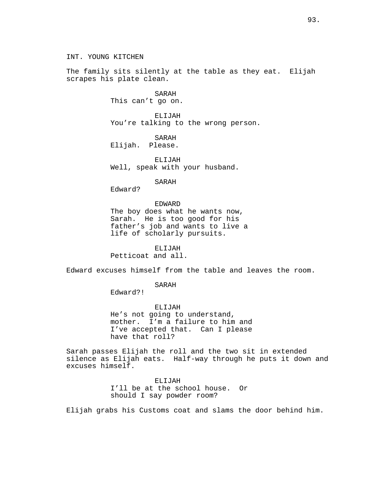INT. YOUNG KITCHEN

The family sits silently at the table as they eat. Elijah scrapes his plate clean.

> SARAH This can't go on.

ELIJAH You're talking to the wrong person.

SARAH Elijah. Please.

ELIJAH Well, speak with your husband.

SARAH

Edward?

#### EDWARD

The boy does what he wants now, Sarah. He is too good for his father's job and wants to live a life of scholarly pursuits.

ELIJAH

Petticoat and all.

Edward excuses himself from the table and leaves the room.

SARAH

Edward?!

ELIJAH He's not going to understand, mother. I'm a failure to him and I've accepted that. Can I please have that roll?

Sarah passes Elijah the roll and the two sit in extended silence as Elijah eats. Half-way through he puts it down and excuses himself.

> ELIJAH I'll be at the school house. Or should I say powder room?

Elijah grabs his Customs coat and slams the door behind him.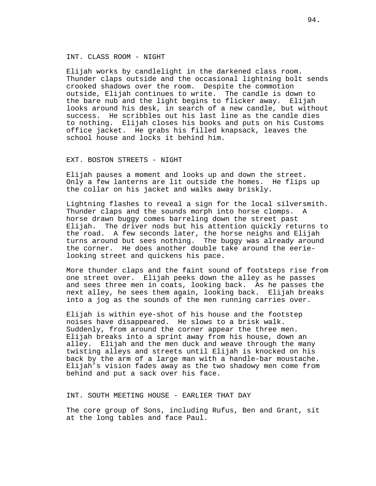# INT. CLASS ROOM - NIGHT

Elijah works by candlelight in the darkened class room. Thunder claps outside and the occasional lightning bolt sends crooked shadows over the room. Despite the commotion outside, Elijah continues to write. The candle is down to the bare nub and the light begins to flicker away. Elijah the bare nub and the light begins to flicker away. looks around his desk, in search of a new candle, but without success. He scribbles out his last line as the candle dies to nothing. Elijah closes his books and puts on his Customs office jacket. He grabs his filled knapsack, leaves the school house and locks it behind him.

## EXT. BOSTON STREETS - NIGHT

Elijah pauses a moment and looks up and down the street. Only a few lanterns are lit outside the homes. He flips up the collar on his jacket and walks away briskly.

Lightning flashes to reveal a sign for the local silversmith. Thunder claps and the sounds morph into horse clomps. A horse drawn buggy comes barreling down the street past Elijah. The driver nods but his attention quickly returns to the road. A few seconds later, the horse neighs and Elijah turns around but sees nothing. The buggy was already around the corner. He does another double take around the eerielooking street and quickens his pace.

More thunder claps and the faint sound of footsteps rise from one street over. Elijah peeks down the alley as he passes and sees three men in coats, looking back. As he passes the next alley, he sees them again, looking back. Elijah breaks into a jog as the sounds of the men running carries over.

Elijah is within eye-shot of his house and the footstep noises have disappeared. He slows to a brisk walk. Suddenly, from around the corner appear the three men. Elijah breaks into a sprint away from his house, down an alley. Elijah and the men duck and weave through the many twisting alleys and streets until Elijah is knocked on his back by the arm of a large man with a handle-bar moustache. Elijah's vision fades away as the two shadowy men come from behind and put a sack over his face.

INT. SOUTH MEETING HOUSE - EARLIER THAT DAY

The core group of Sons, including Rufus, Ben and Grant, sit at the long tables and face Paul.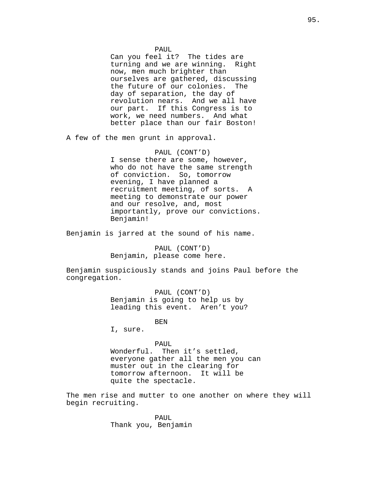PAUL

Can you feel it? The tides are<br>turning and we are winning. Right turning and we are winning. now, men much brighter than ourselves are gathered, discussing the future of our colonies. The day of separation, the day of revolution nears. And we all have our part. If this Congress is to work, we need numbers. And what better place than our fair Boston!

A few of the men grunt in approval.

## PAUL (CONT'D)

I sense there are some, however, who do not have the same strength of conviction. So, tomorrow evening, I have planned a recruitment meeting, of sorts. A meeting to demonstrate our power and our resolve, and, most importantly, prove our convictions. Benjamin!

Benjamin is jarred at the sound of his name.

PAUL (CONT'D) Benjamin, please come here.

Benjamin suspiciously stands and joins Paul before the congregation.

> PAUL (CONT'D) Benjamin is going to help us by leading this event. Aren't you?

> > BEN

I, sure.

#### PAUL

Wonderful. Then it's settled, everyone gather all the men you can muster out in the clearing for tomorrow afternoon. It will be quite the spectacle.

The men rise and mutter to one another on where they will begin recruiting.

> PAUL Thank you, Benjamin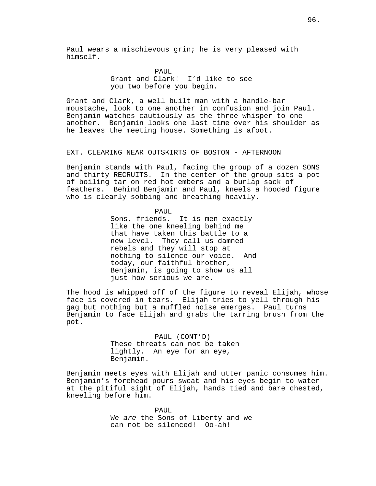Paul wears a mischievous grin; he is very pleased with himself.

> PAUL Grant and Clark! I'd like to see you two before you begin.

Grant and Clark, a well built man with a handle-bar moustache, look to one another in confusion and join Paul. Benjamin watches cautiously as the three whisper to one another. Benjamin looks one last time over his shoulder as he leaves the meeting house. Something is afoot.

# EXT. CLEARING NEAR OUTSKIRTS OF BOSTON - AFTERNOON

Benjamin stands with Paul, facing the group of a dozen SONS and thirty RECRUITS. In the center of the group sits a pot of boiling tar on red hot embers and a burlap sack of feathers. Behind Benjamin and Paul, kneels a hooded figure who is clearly sobbing and breathing heavily.

PAIII.

Sons, friends. It is men exactly like the one kneeling behind me that have taken this battle to a new level. They call us damned rebels and they will stop at nothing to silence our voice. And today, our faithful brother, Benjamin, is going to show us all just how serious we are.

The hood is whipped off of the figure to reveal Elijah, whose face is covered in tears. Elijah tries to yell through his gag but nothing but a muffled noise emerges. Paul turns Benjamin to face Elijah and grabs the tarring brush from the pot.

> PAUL (CONT'D) These threats can not be taken lightly. An eye for an eye, Benjamin.

Benjamin meets eyes with Elijah and utter panic consumes him. Benjamin's forehead pours sweat and his eyes begin to water at the pitiful sight of Elijah, hands tied and bare chested, kneeling before him.

> PAUL We are the Sons of Liberty and we can not be silenced! Oo-ah!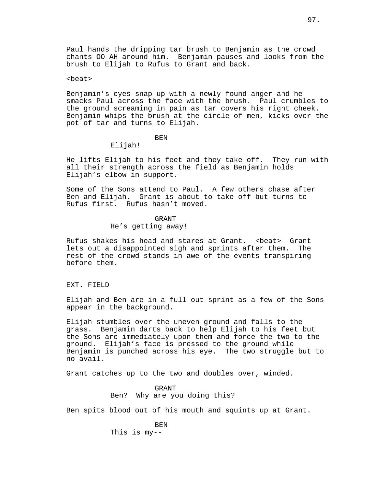Paul hands the dripping tar brush to Benjamin as the crowd chants OO-AH around him. Benjamin pauses and looks from the brush to Elijah to Rufus to Grant and back.

## <beat>

Benjamin's eyes snap up with a newly found anger and he smacks Paul across the face with the brush. Paul crumbles to the ground screaming in pain as tar covers his right cheek. Benjamin whips the brush at the circle of men, kicks over the pot of tar and turns to Elijah.

# BEN

# Elijah!

He lifts Elijah to his feet and they take off. They run with all their strength across the field as Benjamin holds Elijah's elbow in support.

Some of the Sons attend to Paul. A few others chase after Ben and Elijah. Grant is about to take off but turns to Rufus first. Rufus hasn't moved.

# GRANT

# He's getting away!

Rufus shakes his head and stares at Grant. <beat> Grant lets out a disappointed sigh and sprints after them. The rest of the crowd stands in awe of the events transpiring before them.

#### EXT. FIELD

Elijah and Ben are in a full out sprint as a few of the Sons appear in the background.

Elijah stumbles over the uneven ground and falls to the grass. Benjamin darts back to help Elijah to his feet but the Sons are immediately upon them and force the two to the ground. Elijah's face is pressed to the ground while Benjamin is punched across his eye. The two struggle but to no avail.

Grant catches up to the two and doubles over, winded.

GRANT Ben? Why are you doing this?

Ben spits blood out of his mouth and squints up at Grant.

BEN This is my--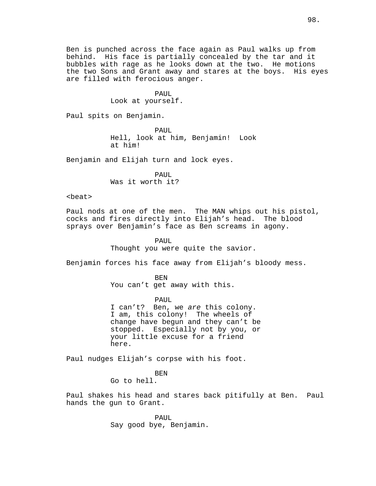Ben is punched across the face again as Paul walks up from behind. His face is partially concealed by the tar and it bubbles with rage as he looks down at the two. He motions the two Sons and Grant away and stares at the boys. His eyes are filled with ferocious anger.

# PAUL

Look at yourself.

Paul spits on Benjamin.

PAUL Hell, look at him, Benjamin! Look at him!

Benjamin and Elijah turn and lock eyes.

PAUL Was it worth it?

# <beat>

Paul nods at one of the men. The MAN whips out his pistol, cocks and fires directly into Elijah's head. The blood sprays over Benjamin's face as Ben screams in agony.

> PAUL Thought you were quite the savior.

Benjamin forces his face away from Elijah's bloody mess.

BEN You can't get away with this.

PAUL I can't? Ben, we are this colony. I am, this colony! The wheels of change have begun and they can't be stopped. Especially not by you, or your little excuse for a friend here.

Paul nudges Elijah's corpse with his foot.

**BEN** Go to hell.

Paul shakes his head and stares back pitifully at Ben. Paul hands the gun to Grant.

> PAUL Say good bye, Benjamin.